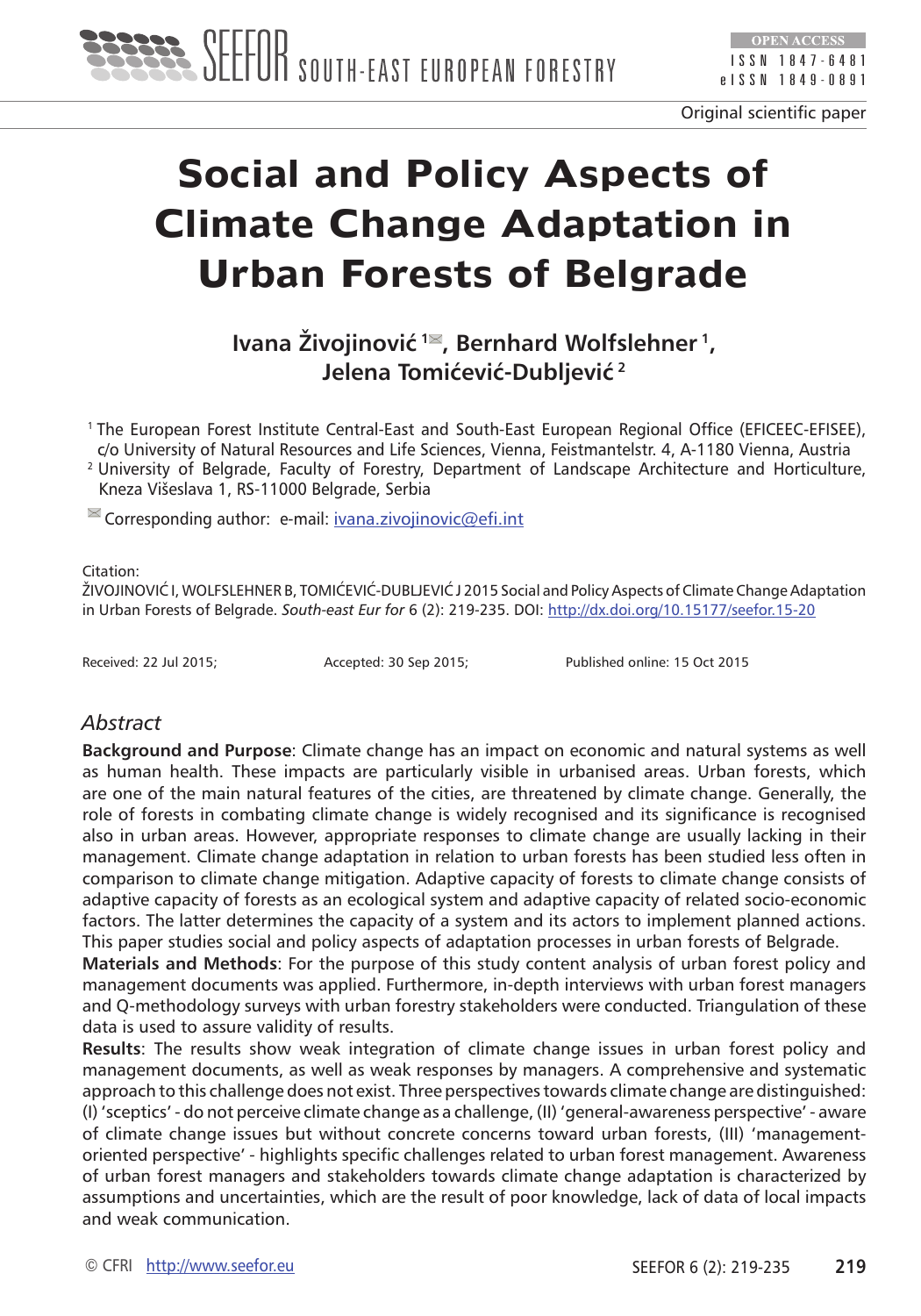

Original scientific paper

# **Social and Policy Aspects of Climate Change Adaptation in Urban Forests of Belgrade**

**Ivana Živojinović**<sup>1<sup>≥</sup>, Bernhard Wolfslehner<sup>1</sup>,</sup> **Jelena Tomićević-Dubljević<sup>2</sup>**

1 The European Forest Institute Central-East and South-East European Regional Office (EFICEEC-EFISEE), c/o University of Natural Resources and Life Sciences, Vienna, Feistmantelstr. 4, A-1180 Vienna, Austria

2 University of Belgrade, Faculty of Forestry, Department of Landscape Architecture and Horticulture, Kneza Višeslava 1, RS-11000 Belgrade, Serbia

 $\blacksquare$  Corresponding author: e-mail: [ivana.zivojinovic@efi.int](mailto:ivana.zivojinovic@efi.int)

#### Citation:

ŽIVOJINOVIĆ I, WOLFSLEHNER B, TOMIĆEVIĆ-DUBLJEVIĆ J 2015 Social and Policy Aspects of Climate Change Adaptation in Urban Forests of Belgrade. *South-east Eur for* 6 (2): 219-235. DOI:<http://dx.doi.org/10.15177/seefor.15-20>

Received: 22 Jul 2015; Accepted: 30 Sep 2015; Published online: 15 Oct 2015

## *Abstract*

**Background and Purpose**: Climate change has an impact on economic and natural systems as well as human health. These impacts are particularly visible in urbanised areas. Urban forests, which are one of the main natural features of the cities, are threatened by climate change. Generally, the role of forests in combating climate change is widely recognised and its significance is recognised also in urban areas. However, appropriate responses to climate change are usually lacking in their management. Climate change adaptation in relation to urban forests has been studied less often in comparison to climate change mitigation. Adaptive capacity of forests to climate change consists of adaptive capacity of forests as an ecological system and adaptive capacity of related socio-economic factors. The latter determines the capacity of a system and its actors to implement planned actions. This paper studies social and policy aspects of adaptation processes in urban forests of Belgrade.

**Materials and Methods**: For the purpose of this study content analysis of urban forest policy and management documents was applied. Furthermore, in-depth interviews with urban forest managers and Q-methodology surveys with urban forestry stakeholders were conducted. Triangulation of these data is used to assure validity of results.

**Results**: The results show weak integration of climate change issues in urban forest policy and management documents, as well as weak responses by managers. A comprehensive and systematic approach to this challenge does not exist. Three perspectives towards climate change are distinguished: (I) 'sceptics' - do not perceive climate change as a challenge, (II) 'general-awareness perspective' - aware of climate change issues but without concrete concerns toward urban forests, (III) 'managementoriented perspective' *-* highlights specific challenges related to urban forest management. Awareness of urban forest managers and stakeholders towards climate change adaptation is characterized by assumptions and uncertainties, which are the result of poor knowledge, lack of data of local impacts and weak communication.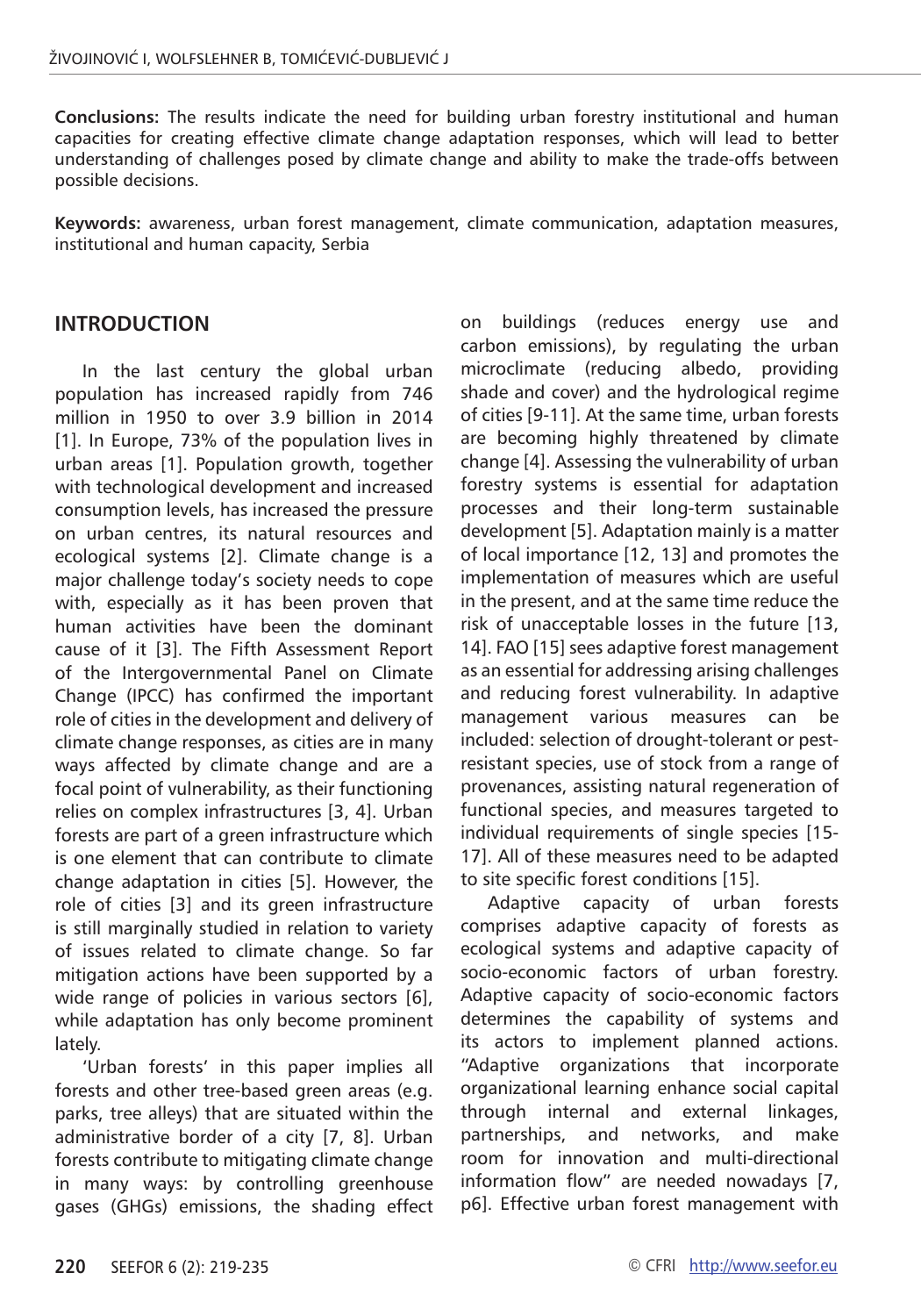**Conclusions:** The results indicate the need for building urban forestry institutional and human capacities for creating effective climate change adaptation responses, which will lead to better understanding of challenges posed by climate change and ability to make the trade-offs between possible decisions.

**Keywords:** awareness, urban forest management, climate communication, adaptation measures, institutional and human capacity, Serbia

#### **INTRODUCTION**

In the last century the global urban population has increased rapidly from 746 million in 1950 to over 3.9 billion in 2014 [1]. In Europe, 73% of the population lives in urban areas [1]. Population growth, together with technological development and increased consumption levels, has increased the pressure on urban centres, its natural resources and ecological systems [2]. Climate change is a major challenge today's society needs to cope with, especially as it has been proven that human activities have been the dominant cause of it [3]. The Fifth Assessment Report of the Intergovernmental Panel on Climate Change (IPCC) has confirmed the important role of cities in the development and delivery of climate change responses, as cities are in many ways affected by climate change and are a focal point of vulnerability, as their functioning relies on complex infrastructures [3, 4]. Urban forests are part of a green infrastructure which is one element that can contribute to climate change adaptation in cities [5]. However, the role of cities [3] and its green infrastructure is still marginally studied in relation to variety of issues related to climate change. So far mitigation actions have been supported by a wide range of policies in various sectors [6], while adaptation has only become prominent lately.

'Urban forests' in this paper implies all forests and other tree-based green areas (e.g. parks, tree alleys) that are situated within the administrative border of a city [7, 8]. Urban forests contribute to mitigating climate change in many ways: by controlling greenhouse gases (GHGs) emissions, the shading effect on buildings (reduces energy use and carbon emissions), by regulating the urban microclimate (reducing albedo, providing shade and cover) and the hydrological regime of cities [9-11]. At the same time, urban forests are becoming highly threatened by climate change [4]. Assessing the vulnerability of urban forestry systems is essential for adaptation processes and their long-term sustainable development [5]. Adaptation mainly is a matter of local importance [12, 13] and promotes the implementation of measures which are useful in the present, and at the same time reduce the risk of unacceptable losses in the future [13, 14]. FAO [15] sees adaptive forest management as an essential for addressing arising challenges and reducing forest vulnerability. In adaptive management various measures can be included: selection of drought-tolerant or pestresistant species, use of stock from a range of provenances, assisting natural regeneration of functional species, and measures targeted to individual requirements of single species [15- 17]. All of these measures need to be adapted to site specific forest conditions [15].

Adaptive capacity of urban forests comprises adaptive capacity of forests as ecological systems and adaptive capacity of socio-economic factors of urban forestry. Adaptive capacity of socio-economic factors determines the capability of systems and its actors to implement planned actions. "Adaptive organizations that incorporate organizational learning enhance social capital through internal and external linkages, partnerships, and networks, and make room for innovation and multi-directional information flow" are needed nowadays [7, p6]. Effective urban forest management with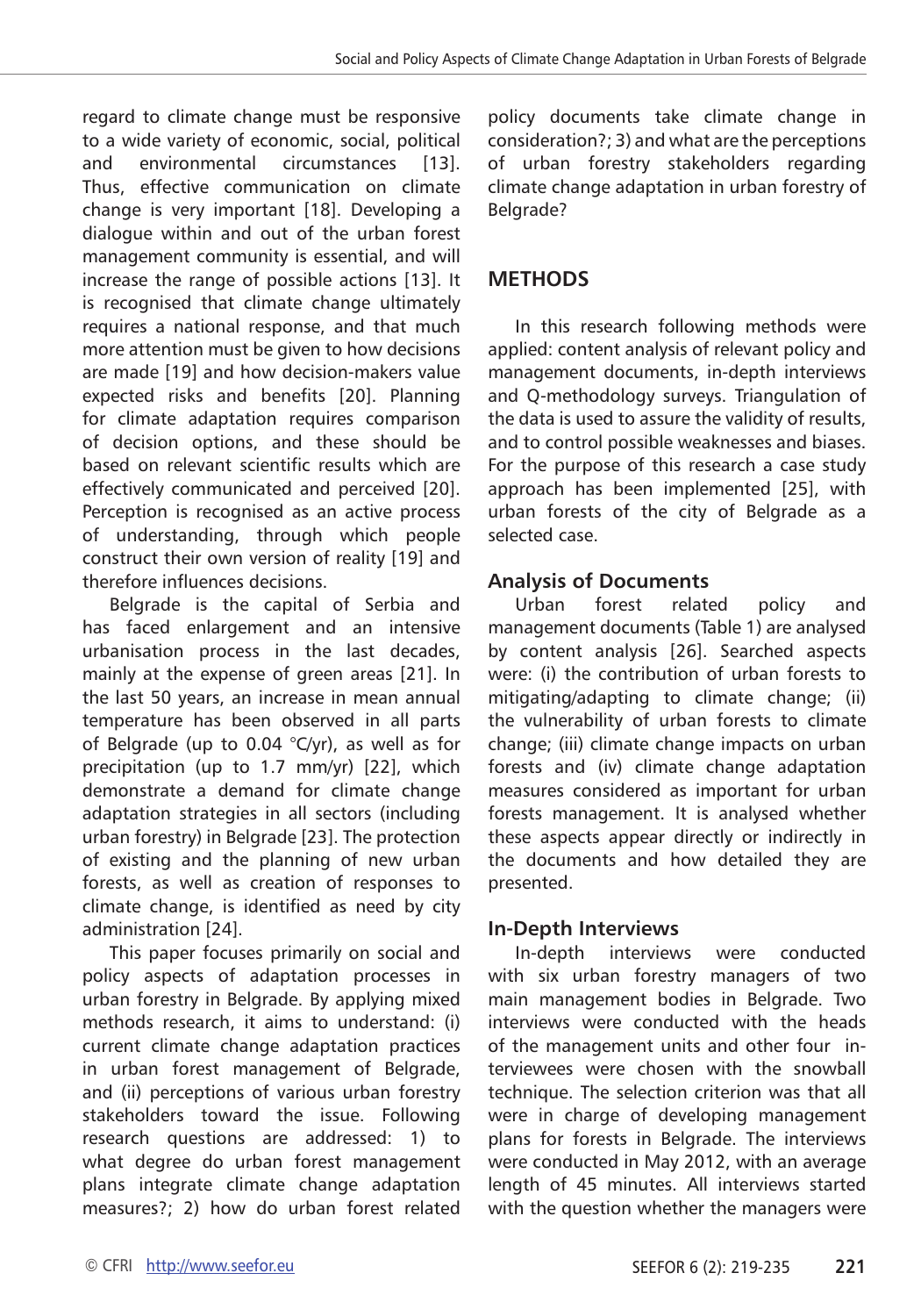regard to climate change must be responsive to a wide variety of economic, social, political and environmental circumstances [13]. Thus, effective communication on climate change is very important [18]. Developing a dialogue within and out of the urban forest management community is essential, and will increase the range of possible actions [13]. It is recognised that climate change ultimately requires a national response, and that much more attention must be given to how decisions are made [19] and how decision-makers value expected risks and benefits [20]. Planning for climate adaptation requires comparison of decision options, and these should be based on relevant scientific results which are effectively communicated and perceived [20]. Perception is recognised as an active process of understanding, through which people construct their own version of reality [19] and therefore influences decisions.

Belgrade is the capital of Serbia and has faced enlargement and an intensive urbanisation process in the last decades, mainly at the expense of green areas [21]. In the last 50 years, an increase in mean annual temperature has been observed in all parts of Belgrade (up to 0.04  $°C/yr$ ), as well as for precipitation (up to 1.7 mm/yr) [22], which demonstrate a demand for climate change adaptation strategies in all sectors (including urban forestry) in Belgrade [23]. The protection of existing and the planning of new urban forests, as well as creation of responses to climate change, is identified as need by city administration [24].

This paper focuses primarily on social and policy aspects of adaptation processes in urban forestry in Belgrade. By applying mixed methods research, it aims to understand: (i) current climate change adaptation practices in urban forest management of Belgrade, and (ii) perceptions of various urban forestry stakeholders toward the issue. Following research questions are addressed: 1) to what degree do urban forest management plans integrate climate change adaptation measures?; 2) how do urban forest related policy documents take climate change in consideration?; 3) and what are the perceptions of urban forestry stakeholders regarding climate change adaptation in urban forestry of Belarade?

## **METHODS**

In this research following methods were applied: content analysis of relevant policy and management documents, in-depth interviews and Q-methodology surveys. Triangulation of the data is used to assure the validity of results, and to control possible weaknesses and biases. For the purpose of this research a case study approach has been implemented [25], with urban forests of the city of Belgrade as a selected case.

## **Analysis of Documents**

Urban forest related policy and management documents (Table 1) are analysed by content analysis [26]. Searched aspects were: (i) the contribution of urban forests to mitigating/adapting to climate change; (ii) the vulnerability of urban forests to climate change; (iii) climate change impacts on urban forests and (iv) climate change adaptation measures considered as important for urban forests management. It is analysed whether these aspects appear directly or indirectly in the documents and how detailed they are presented.

## **In-Depth Interviews**

In-depth interviews were conducted with six urban forestry managers of two main management bodies in Belgrade. Two interviews were conducted with the heads of the management units and other four interviewees were chosen with the snowball technique. The selection criterion was that all were in charge of developing management plans for forests in Belgrade. The interviews were conducted in May 2012, with an average length of 45 minutes. All interviews started with the question whether the managers were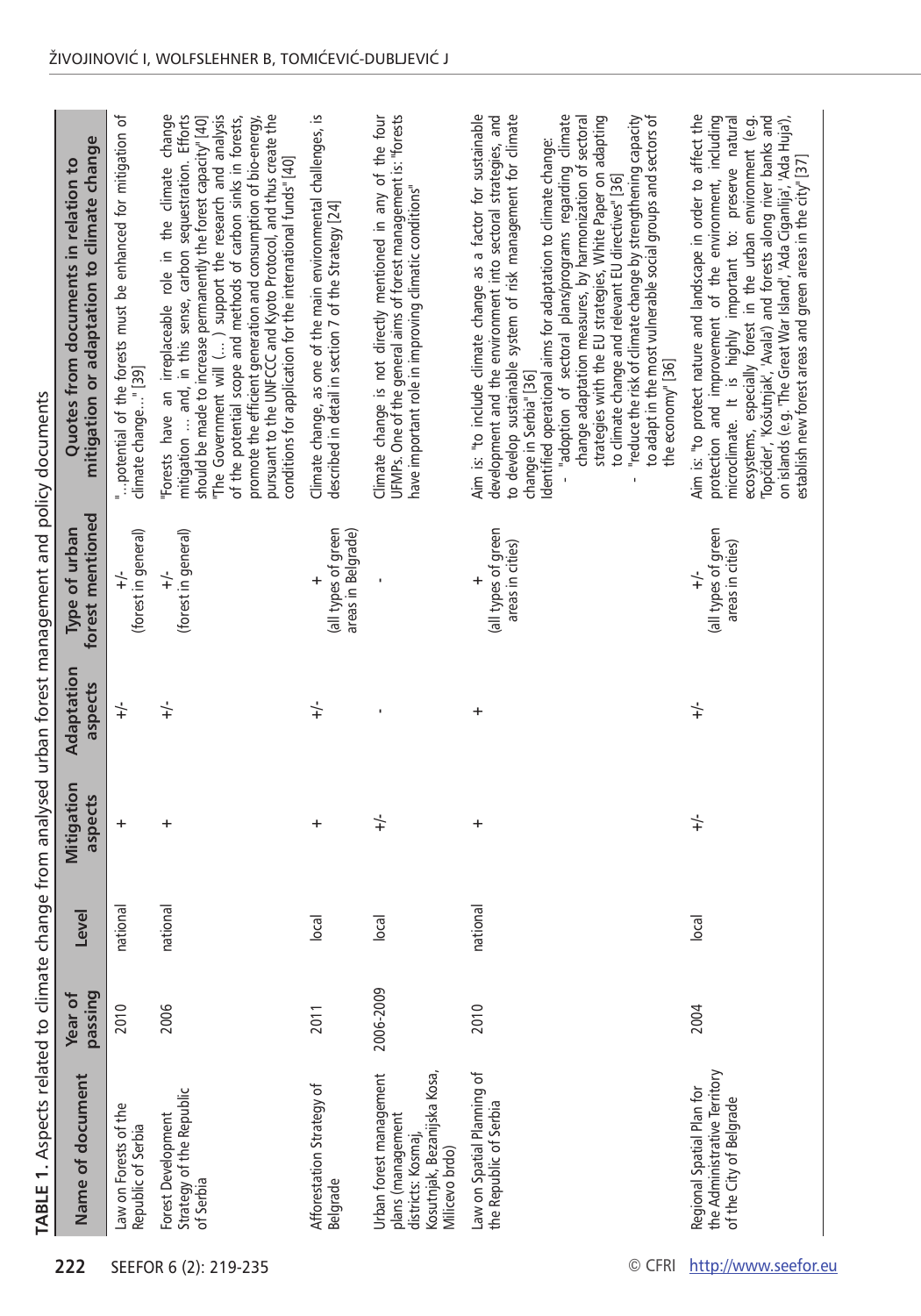|                       | TABLE 1. Aspects related to climate change from analysed urban forest management and policy documents              |                    |          |                       |                       |                                                        |                                                                                                                                                                                                                                                                                                                                                                                                                                                                                                                                          |
|-----------------------|--------------------------------------------------------------------------------------------------------------------|--------------------|----------|-----------------------|-----------------------|--------------------------------------------------------|------------------------------------------------------------------------------------------------------------------------------------------------------------------------------------------------------------------------------------------------------------------------------------------------------------------------------------------------------------------------------------------------------------------------------------------------------------------------------------------------------------------------------------------|
| 222                   | Name of document                                                                                                   | passing<br>Year of | Level    | Mitigation<br>aspects | Adaptation<br>aspects | forest mentioned<br>Type of urban                      | mitigation or adaptation to climate change<br>Quotes from documents in relation to                                                                                                                                                                                                                                                                                                                                                                                                                                                       |
|                       | Law on Forests of the<br>Republic of Serbia                                                                        | 2010               | national | $\ddot{}$             | $\div$                | (forest in general)<br>$+/-$                           | " potential of the forests must be enhanced for mitigation of<br>climate change" [39]                                                                                                                                                                                                                                                                                                                                                                                                                                                    |
| SEEFOR 6 (2): 219-235 | Strategy of the Republic<br>Forest Development<br>of Serbia                                                        | 2006               | national | +                     | $\div$                | (forest in general)<br>$\div$                          | mitigation  and, in this sense, carbon sequestration. Efforts<br>The Government will () support the research and analysis<br>pursuant to the UNFCCC and Kyoto Protocol, and thus create the<br>Forests have an irreplaceable role in the climate change<br>should be made to increase permanently the forest capacity" [40]<br>of the potential scope and methods of carbon sinks in forests,<br>promote the efficient generation and consumption of bio-energy,<br>conditions for application for the international funds" [40]         |
|                       | Afforestation Strategy of<br>Belgrade                                                                              | 2011               | $ o$ cal | +                     | $\div$                | (all types of green<br>areas in Belgrade)<br>$\ddot{}$ | Climate change, as one of the main environmental challenges, is<br>described in detail in section 7 of the Strategy [24]                                                                                                                                                                                                                                                                                                                                                                                                                 |
|                       | Urban forest management<br>Kosutnjak, Bezanijska Kosa<br>plans (management<br>districts: Kosmaj,<br>Milicevo brdo) | 2006-2009          | $ o$ cal | $\div$                |                       |                                                        | Climate change is not directly mentioned in any of the four<br>UFMPs. One of the general aims of forest management is: "forests<br>have important role in improving climatic conditions"                                                                                                                                                                                                                                                                                                                                                 |
|                       | Law on Spatial Planning of<br>the Republic of Serbia                                                               | 2010               | national | +                     | +                     | (all types of green<br>areas in cities)<br>$\ddot{}$   | Aim is: "to include climate change as a factor for sustainable<br>to develop sustainable system of risk management for climate<br>adoption of sectoral plans/programs regarding climate<br>development and the environment into sectoral strategies, and<br>strategies with the EU strategies, White Paper on adapting<br>change adaptation measures, by harmonization of sectoral<br>Identified operational aims for adaptation to climate change:<br>to climate change and relevant EU directives" [36]<br>change in Serbia" [36]<br>ï |
| © CFRI                |                                                                                                                    |                    |          |                       |                       |                                                        | "reduce the risk of climate change by strengthening capacity<br>to adapt in the most vulnerable social groups and sectors of<br>the economy" [36]<br>ï                                                                                                                                                                                                                                                                                                                                                                                   |
| http://www.seefor.eu  | the Administrative Territory<br>Regional Spatial Plan for<br>of the City of Belgrade                               | 2004               | $ o$ cal | $\div$                | $\div$                | (all types of green<br>areas in cities)<br>$\div$      | Aim is: "to protect nature and landscape in order to affect the<br>protection and improvement of the environment, including<br>Topčider', 'Košutnjak', 'Avala') and forests along river banks and<br>on islands (e.g. The Great War Island', 'Ada Ciganlija', 'Ada Huja'),<br>ecosystems, especially forest in the urban environment (e.g.<br>microclimate. It is highly important to: preserve natural<br>establish new forest areas and green areas in the city" [37]                                                                  |
|                       |                                                                                                                    |                    |          |                       |                       |                                                        |                                                                                                                                                                                                                                                                                                                                                                                                                                                                                                                                          |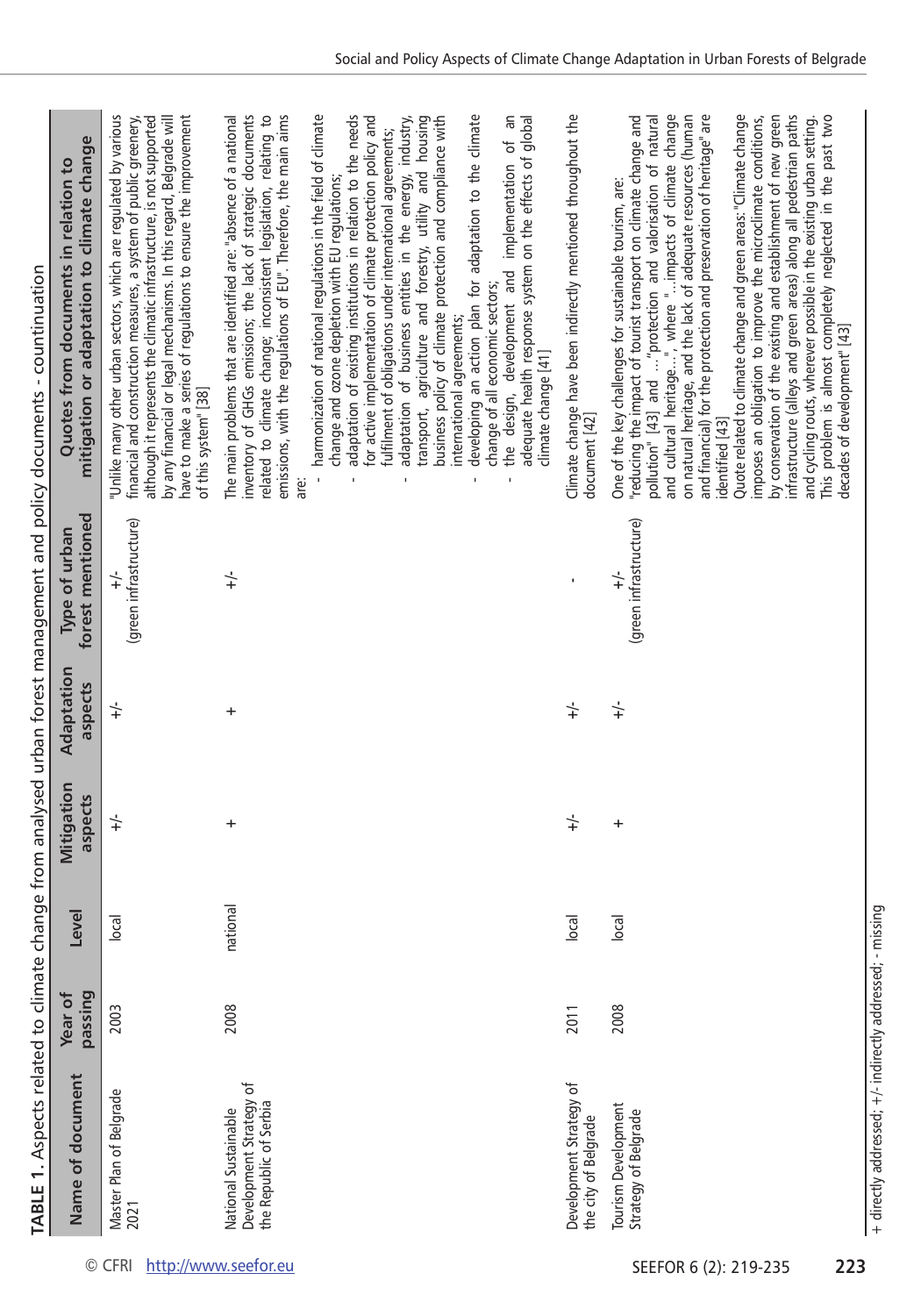| )                                                                                         |
|-------------------------------------------------------------------------------------------|
|                                                                                           |
|                                                                                           |
|                                                                                           |
|                                                                                           |
|                                                                                           |
|                                                                                           |
|                                                                                           |
|                                                                                           |
| $\vdots$                                                                                  |
| $\vdots$<br>d                                                                             |
|                                                                                           |
| ֠                                                                                         |
|                                                                                           |
|                                                                                           |
|                                                                                           |
|                                                                                           |
|                                                                                           |
|                                                                                           |
| d                                                                                         |
|                                                                                           |
|                                                                                           |
| Ò                                                                                         |
| ׇ֚֬֡                                                                                      |
| ì<br>ì                                                                                    |
|                                                                                           |
|                                                                                           |
|                                                                                           |
| ׇ֚֬֡                                                                                      |
| č                                                                                         |
|                                                                                           |
|                                                                                           |
| ֖֚֚֚֡<br>֧֧֧ׅׅׅ֧֧֧֧ׅ֧ׅ֧֧֪ׅ֧֪֪֪֪֪֪֪֪֪֪֪ׅ֧֚֚֚֚֚֚֚֚֚֚֚֚֚֚֚֚֚֚֚֚֚֚֚֚֚֚֩֡֘֝֝֬֝֬֝֬֜֝֬<br>j<br>t |
|                                                                                           |
| ֖֖֖֖֖֪ׅׅ֪ׅ֪ׅ֪ׅ֖֧֪ׅ֪֪ׅ֪֪֪֪֪֪֪֪֪֪֪֪֪֪֧֚֚֚֚֚֚֚֚֚֚֚֚֚֚֚֚֚֚֚֡֝֝֝֓                              |
| ׇ֚֘֝֕                                                                                     |
| ļ<br>í<br>l                                                                               |
|                                                                                           |
|                                                                                           |
| ֘֒                                                                                        |
|                                                                                           |
| Ó                                                                                         |
|                                                                                           |
| j                                                                                         |
|                                                                                           |
|                                                                                           |
|                                                                                           |
|                                                                                           |
|                                                                                           |
|                                                                                           |
|                                                                                           |
|                                                                                           |
|                                                                                           |
| ֖֖֖֖֖ׅ֧֖֧֚֚֚֚֚֚֚֚֚֚֚֚֚֚֚֚֚֚֚֚֚֚֚֚֚֚֚֚֚֚֡֬֝֓֞֝֓֝֬                                          |
|                                                                                           |
| l                                                                                         |
|                                                                                           |
| )<br>)<br>)                                                                               |
| l                                                                                         |
| ļ                                                                                         |
|                                                                                           |
|                                                                                           |
| :<br>!<br>L<br>ı                                                                          |
|                                                                                           |
| <b>LIBR</b><br>i                                                                          |
| ֧֦֧֦֧֦֧֦֧֦֧֦֧֢֛֦֧֚֬֜֜֡֓֬<br>j                                                             |

|                                                                           |                    |                  |                       |                       |                                   | TABLE 1. Aspects related to climate change from analysed urban forest management and policy documents - countinuation                                                                                                                                                                                                                                                                                                                                                                                                                                                                                                                                                                                                                                                                                                                                                 |
|---------------------------------------------------------------------------|--------------------|------------------|-----------------------|-----------------------|-----------------------------------|-----------------------------------------------------------------------------------------------------------------------------------------------------------------------------------------------------------------------------------------------------------------------------------------------------------------------------------------------------------------------------------------------------------------------------------------------------------------------------------------------------------------------------------------------------------------------------------------------------------------------------------------------------------------------------------------------------------------------------------------------------------------------------------------------------------------------------------------------------------------------|
| Name of document                                                          | passing<br>Year of | Level            | Mitigation<br>aspects | Adaptation<br>aspects | forest mentioned<br>Type of urban | mitigation or adaptation to climate change<br>Quotes from documents in relation to                                                                                                                                                                                                                                                                                                                                                                                                                                                                                                                                                                                                                                                                                                                                                                                    |
| Master Plan of Belgrade<br>2021                                           | 2003               | $ o$ ca $ $      | $\div$                | $\div$                | (green infrastructure)<br>$\div$  | "Unlike many other urban sectors, which are regulated by various<br>have to make a series of regulations to ensure the improvement<br>although it represents the climatic infrastructure, is not supported<br>by any financial or legal mechanisms. In this regard, Belgrade will<br>financial and construction measures, a system of public greenery,<br>of this system" [38]                                                                                                                                                                                                                                                                                                                                                                                                                                                                                        |
| Development Strategy of<br>the Republic of Serbia<br>National Sustainable | 2008               | national         | +                     | +                     | $\div$                            | inventory of GHGs emissions; the lack of strategic documents<br>emissions, with the regulations of EU". Therefore, the main aims<br>related to climate change; inconsistent legislation, relating to<br>The main problems that are identified are: "absence of a national                                                                                                                                                                                                                                                                                                                                                                                                                                                                                                                                                                                             |
|                                                                           |                    |                  |                       |                       |                                   | harmonization of national regulations in the field of climate<br>adaptation of existing institutions in relation to the needs<br>transport, agriculture and forestry, utility and housing<br>for active implementation of climate protection policy and<br>business policy of climate protection and compliance with<br>adaptation of business entities in the energy, industry,<br>fulfilment of obligations under international agreements;<br>change and ozone depletion with EU regulations;<br>international agreements;<br>$\mathbf{I}$<br>are:                                                                                                                                                                                                                                                                                                                 |
|                                                                           |                    |                  |                       |                       |                                   | developing an action plan for adaptation to the climate<br>Μ<br>adequate health response system on the effects of global<br>implementation of<br>the design, development and<br>change of all economic sectors;<br>climate change [41]<br>ı<br>$\mathbf{I}$                                                                                                                                                                                                                                                                                                                                                                                                                                                                                                                                                                                                           |
| Development Strategy of<br>the city of Belgrade                           | 2011               | $ _{\text{DCA}}$ | $\div$                | $\div$                | ı                                 | Climate change have been indirectly mentioned throughout the<br>document [42]                                                                                                                                                                                                                                                                                                                                                                                                                                                                                                                                                                                                                                                                                                                                                                                         |
| Tourism Development<br>Strategy of Belgrade                               | 2008               | vec              | +                     | $\div$                | (green infrastructure)<br>$\div$  | and cultural heritage", where "impacts of climate change<br>on natural heritage, and the lack of adequate resources (human<br>Quote related to climate change and green areas: "Climate change<br>infrastructure (alleys and green areas) along all pedestrian paths<br>"reducing the impact of tourist transport on climate change and<br>and financial) for the protection and preservation of heritage" are<br>by conservation of the existing and establishment of new green<br>This problem is almost completely neglected in the past two<br>pollution" [43] and  "protection and valorisation of natural<br>imposes an obligation to improve the microclimate conditions,<br>and cycling routs, wherever possible in the existing urban setting.<br>One of the key challenges for sustainable tourism, are:<br>decades of development" [43]<br>identified [43] |

+ directly addressed; +/- indirectly addressed; - missing

+ directly addressed; +/- indirectly addressed; - missing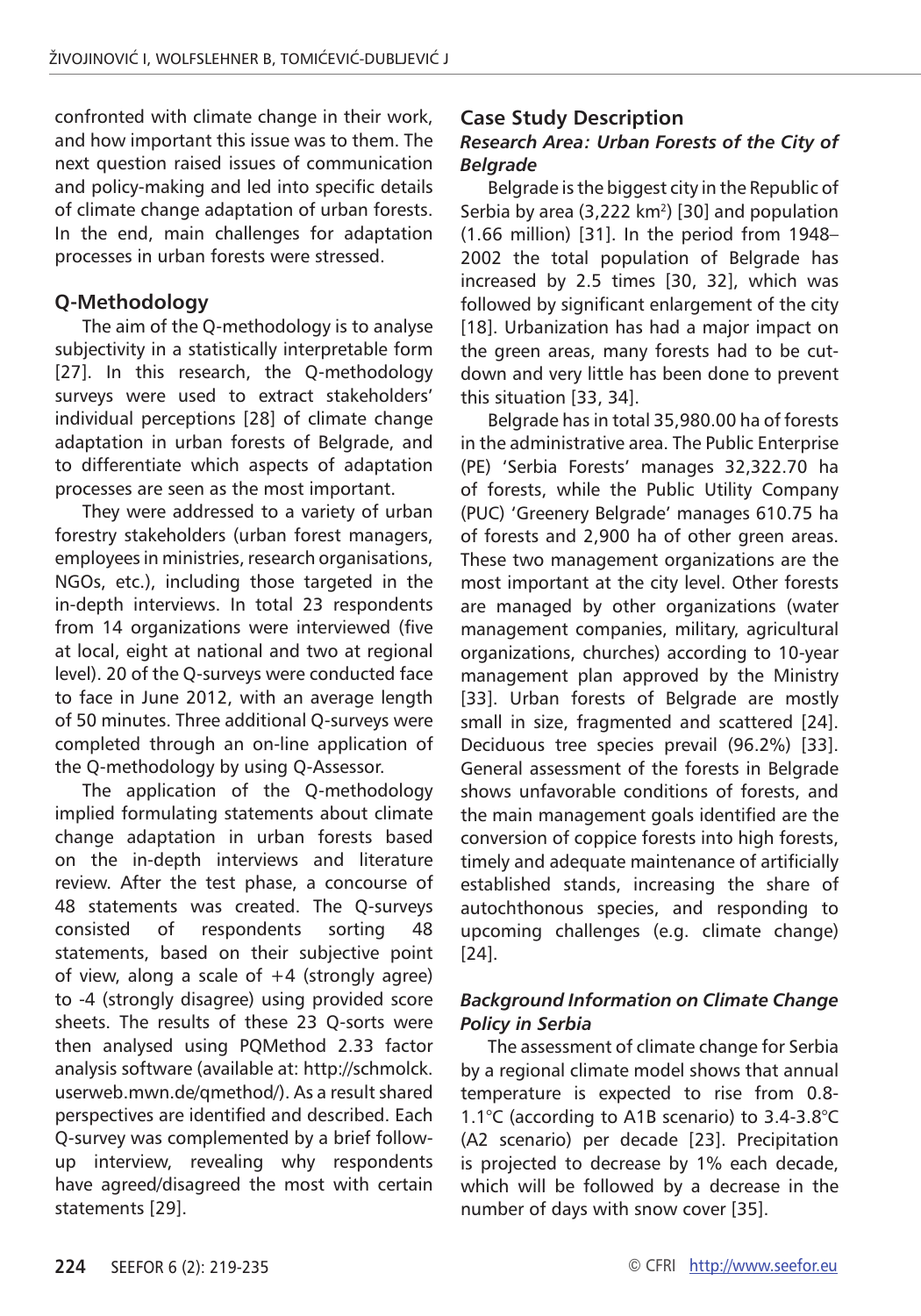confronted with climate change in their work, and how important this issue was to them. The next question raised issues of communication and policy-making and led into specific details of climate change adaptation of urban forests. In the end, main challenges for adaptation processes in urban forests were stressed.

## **Q-Methodology**

The aim of the Q-methodology is to analyse subjectivity in a statistically interpretable form [27]. In this research, the O-methodology surveys were used to extract stakeholders' individual perceptions [28] of climate change adaptation in urban forests of Belgrade, and to differentiate which aspects of adaptation processes are seen as the most important.

They were addressed to a variety of urban forestry stakeholders (urban forest managers, employees in ministries, research organisations, NGOs, etc.), including those targeted in the in-depth interviews. In total 23 respondents from 14 organizations were interviewed (five at local, eight at national and two at regional level). 20 of the Q-surveys were conducted face to face in June 2012, with an average length of 50 minutes. Three additional Q-surveys were completed through an on-line application of the Q-methodology by using Q-Assessor.

The application of the Q-methodology implied formulating statements about climate change adaptation in urban forests based on the in-depth interviews and literature review. After the test phase, a concourse of 48 statements was created. The Q-surveys consisted of respondents sorting 48 statements, based on their subjective point of view, along a scale of  $+4$  (strongly agree) to -4 (strongly disagree) using provided score sheets. The results of these 23 Q-sorts were then analysed using PQMethod 2.33 factor analysis software (available at: http://schmolck. userweb.mwn.de/qmethod/). As a result shared perspectives are identified and described. Each Q-survey was complemented by a brief followup interview, revealing why respondents have agreed/disagreed the most with certain statements [29].

### **Case Study Description**

#### *Research Area: Urban Forests of the City of Belgrade*

Belgrade is the biggest city in the Republic of Serbia by area  $(3,222 \text{ km}^2)$  [30] and population (1.66 million) [31]. In the period from 1948– 2002 the total population of Belgrade has increased by 2.5 times [30, 32], which was followed by significant enlargement of the city [18]. Urbanization has had a major impact on the green areas, many forests had to be cutdown and very little has been done to prevent this situation [33, 34].

Belgrade has in total 35,980.00 ha of forests in the administrative area. The Public Enterprise (PE) 'Serbia Forests' manages 32,322.70 ha of forests, while the Public Utility Company (PUC) 'Greenery Belgrade' manages 610.75 ha of forests and 2,900 ha of other green areas. These two management organizations are the most important at the city level. Other forests are managed by other organizations (water management companies, military, agricultural organizations, churches) according to 10-year management plan approved by the Ministry [33]. Urban forests of Belgrade are mostly small in size, fragmented and scattered [24]. Deciduous tree species prevail (96.2%) [33]. General assessment of the forests in Belgrade shows unfavorable conditions of forests, and the main management goals identified are the conversion of coppice forests into high forests, timely and adequate maintenance of artificially established stands, increasing the share of autochthonous species, and responding to upcoming challenges (e.g. climate change) [24].

#### *Background Information on Climate Change Policy in Serbia*

The assessment of climate change for Serbia by a regional climate model shows that annual temperature is expected to rise from 0.8- 1.1°C (according to A1B scenario) to 3.4-3.8°C (A2 scenario) per decade [23]. Precipitation is projected to decrease by 1% each decade, which will be followed by a decrease in the number of days with snow cover [35].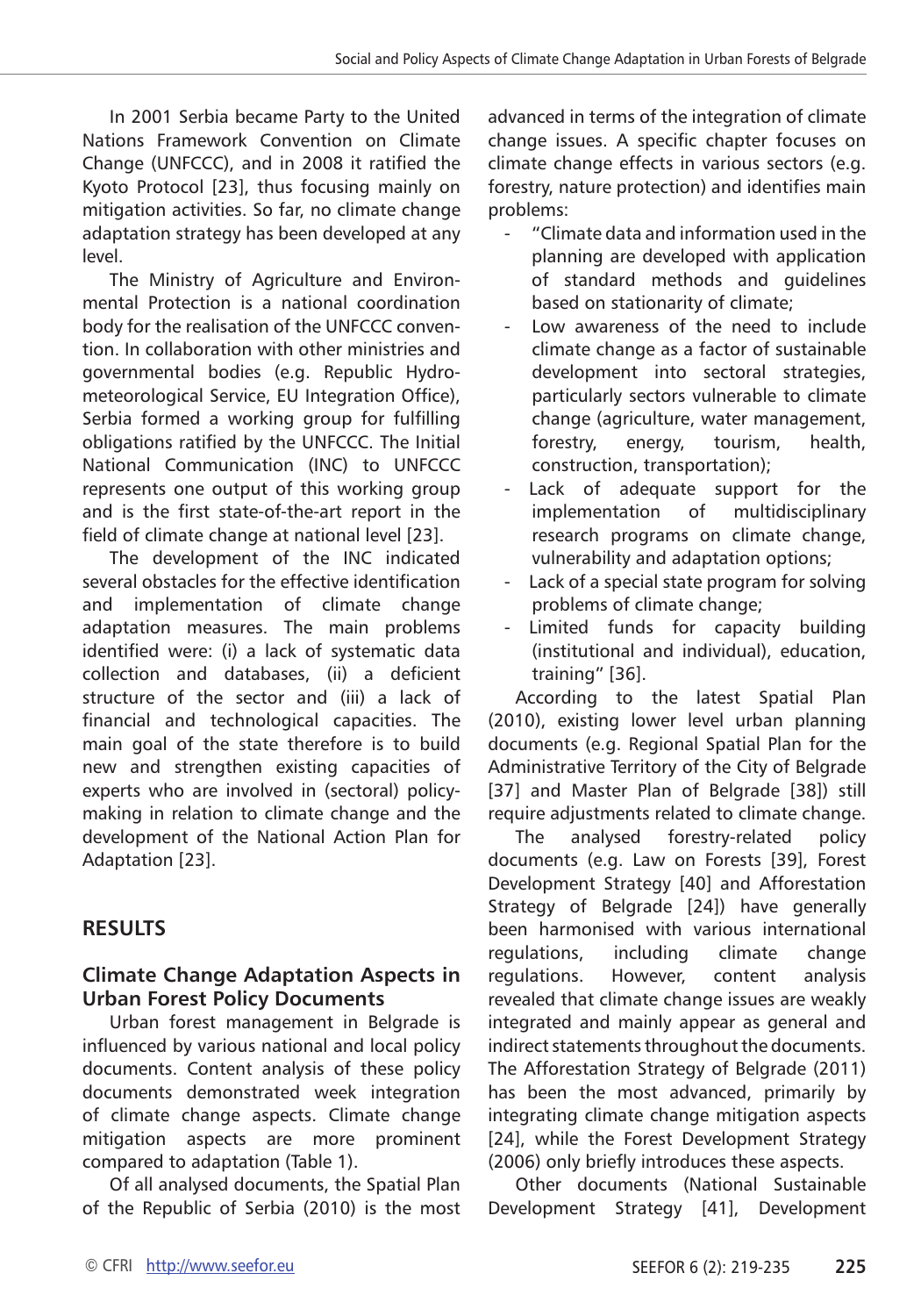In 2001 Serbia became Party to the United Nations Framework Convention on Climate Change (UNFCCC), and in 2008 it ratified the Kyoto Protocol [23], thus focusing mainly on mitigation activities. So far, no climate change adaptation strategy has been developed at any level.

The Ministry of Agriculture and Environmental Protection is a national coordination body for the realisation of the UNFCCC convention. In collaboration with other ministries and governmental bodies (e.g. Republic Hydrometeorological Service, EU Integration Office), Serbia formed a working group for fulfilling obligations ratified by the UNFCCC. The Initial National Communication (INC) to UNFCCC represents one output of this working group and is the first state-of-the-art report in the field of climate change at national level [23].

The development of the INC indicated several obstacles for the effective identification and implementation of climate change adaptation measures. The main problems identified were: (i) a lack of systematic data collection and databases, (ii) a deficient structure of the sector and (iii) a lack of financial and technological capacities. The main goal of the state therefore is to build new and strengthen existing capacities of experts who are involved in (sectoral) policymaking in relation to climate change and the development of the National Action Plan for Adaptation [23].

## **RESULTS**

## **Climate Change Adaptation Aspects in Urban Forest Policy Documents**

Urban forest management in Belgrade is influenced by various national and local policy documents. Content analysis of these policy documents demonstrated week integration of climate change aspects. Climate change mitigation aspects are more prominent compared to adaptation (Table 1).

Of all analysed documents, the Spatial Plan of the Republic of Serbia (2010) is the most

advanced in terms of the integration of climate change issues. A specific chapter focuses on climate change effects in various sectors (e.g. forestry, nature protection) and identifies main problems:

- "Climate data and information used in the planning are developed with application of standard methods and guidelines based on stationarity of climate;
- Low awareness of the need to include climate change as a factor of sustainable development into sectoral strategies, particularly sectors vulnerable to climate change (agriculture, water management, forestry, energy, tourism, health, construction, transportation);
- Lack of adequate support for the implementation of multidisciplinary research programs on climate change, vulnerability and adaptation options;
- Lack of a special state program for solving problems of climate change;
- Limited funds for capacity building (institutional and individual), education, training" [36].

According to the latest Spatial Plan (2010), existing lower level urban planning documents (e.g. Regional Spatial Plan for the Administrative Territory of the City of Belgrade [37] and Master Plan of Belgrade [38]) still require adjustments related to climate change.

The analysed forestry-related policy documents (e.g. Law on Forests [39], Forest Development Strategy [40] and Afforestation Strategy of Belgrade [24]) have generally been harmonised with various international regulations, including climate change regulations. However, content analysis revealed that climate change issues are weakly integrated and mainly appear as general and indirect statements throughout the documents. The Afforestation Strategy of Belgrade (2011) has been the most advanced, primarily by integrating climate change mitigation aspects [24], while the Forest Development Strategy (2006) only briefly introduces these aspects.

Other documents (National Sustainable Development Strategy [41], Development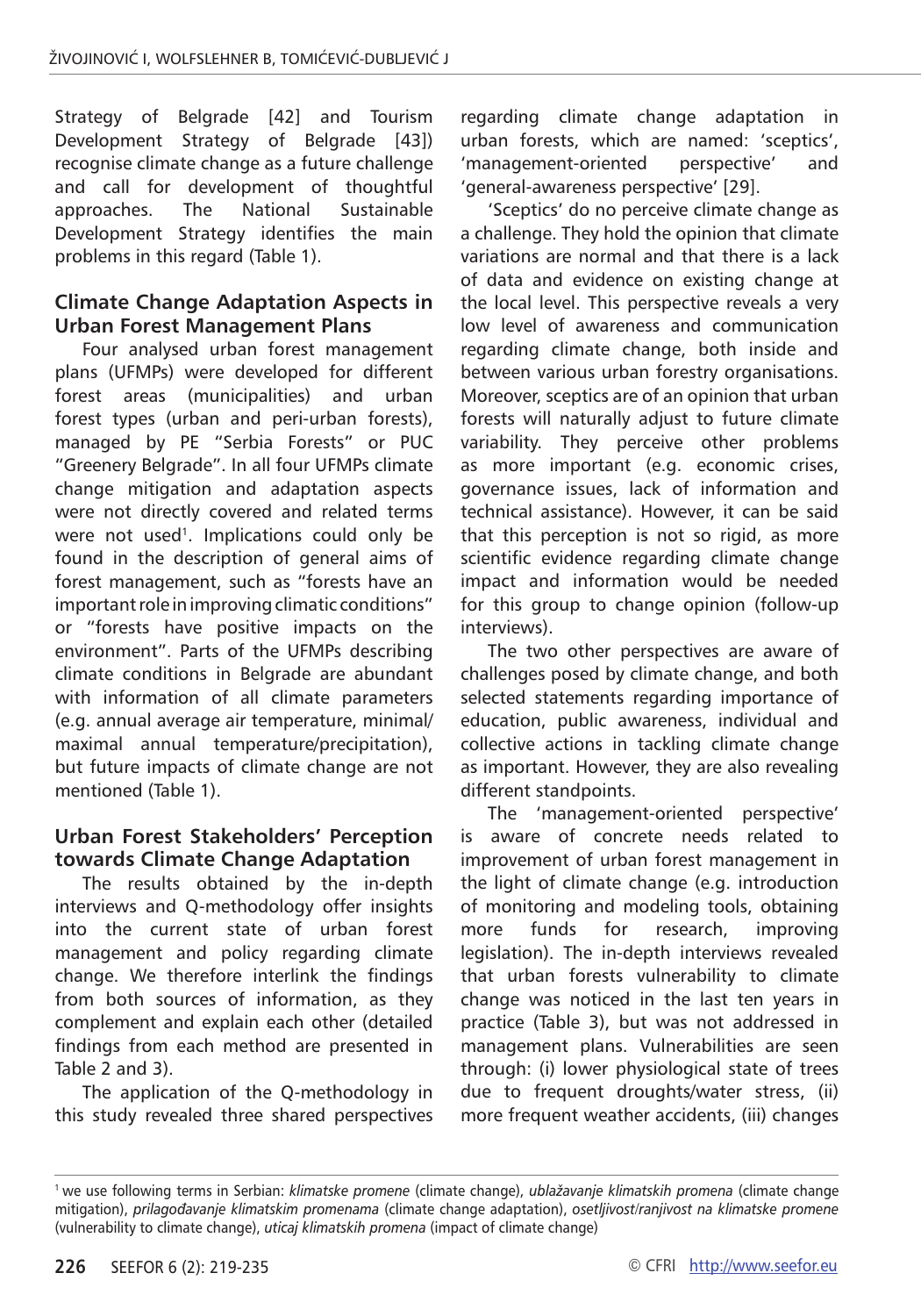Strategy of Belgrade [42] and Tourism Development Strategy of Belgrade [43]) recognise climate change as a future challenge and call for development of thoughtful approaches. The National Sustainable Development Strategy identifies the main problems in this regard (Table 1).

#### **Climate Change Adaptation Aspects in Urban Forest Management Plans**

Four analysed urban forest management plans (UFMPs) were developed for different forest areas (municipalities) and urban forest types (urban and peri-urban forests), managed by PE "Serbia Forests" or PUC "Greenery Belgrade". In all four UFMPs climate change mitigation and adaptation aspects were not directly covered and related terms were not used<sup>1</sup>. Implications could only be found in the description of general aims of forest management, such as "forests have an important role in improving climatic conditions" or "forests have positive impacts on the environment". Parts of the UFMPs describing climate conditions in Belgrade are abundant with information of all climate parameters (e.g. annual average air temperature, minimal/ maximal annual temperature/precipitation), but future impacts of climate change are not mentioned (Table 1).

## **Urban Forest Stakeholders' Perception towards Climate Change Adaptation**

The results obtained by the in-depth interviews and Q-methodology offer insights into the current state of urban forest management and policy regarding climate change. We therefore interlink the findings from both sources of information, as they complement and explain each other (detailed findings from each method are presented in Table 2 and 3).

The application of the Q-methodology in this study revealed three shared perspectives regarding climate change adaptation in urban forests, which are named: 'sceptics', 'management-oriented perspective' and 'general-awareness perspective' [29].

'Sceptics' do no perceive climate change as a challenge. They hold the opinion that climate variations are normal and that there is a lack of data and evidence on existing change at the local level. This perspective reveals a very low level of awareness and communication regarding climate change, both inside and between various urban forestry organisations. Moreover, sceptics are of an opinion that urban forests will naturally adjust to future climate variability. They perceive other problems as more important (e.g. economic crises, governance issues, lack of information and technical assistance). However, it can be said that this perception is not so rigid, as more scientific evidence regarding climate change impact and information would be needed for this group to change opinion (follow-up interviews).

The two other perspectives are aware of challenges posed by climate change, and both selected statements regarding importance of education, public awareness, individual and collective actions in tackling climate change as important. However, they are also revealing different standpoints.

The 'management-oriented perspective' is aware of concrete needs related to improvement of urban forest management in the light of climate change (e.g. introduction of monitoring and modeling tools, obtaining more funds for research, improving legislation). The in-depth interviews revealed that urban forests vulnerability to climate change was noticed in the last ten years in practice (Table 3), but was not addressed in management plans. Vulnerabilities are seen through: (i) lower physiological state of trees due to frequent droughts/water stress, (ii) more frequent weather accidents, (iii) changes

<sup>1</sup> we use following terms in Serbian: *klimatske promene* (climate change), *ublažavanje klimatskih promena* (climate change mitigation), *prilagođavanje klimatskim promenama* (climate change adaptation), *osetljivost/ranjivost na klimatske promene* (vulnerability to climate change), *uticaj klimatskih promena* (impact of climate change)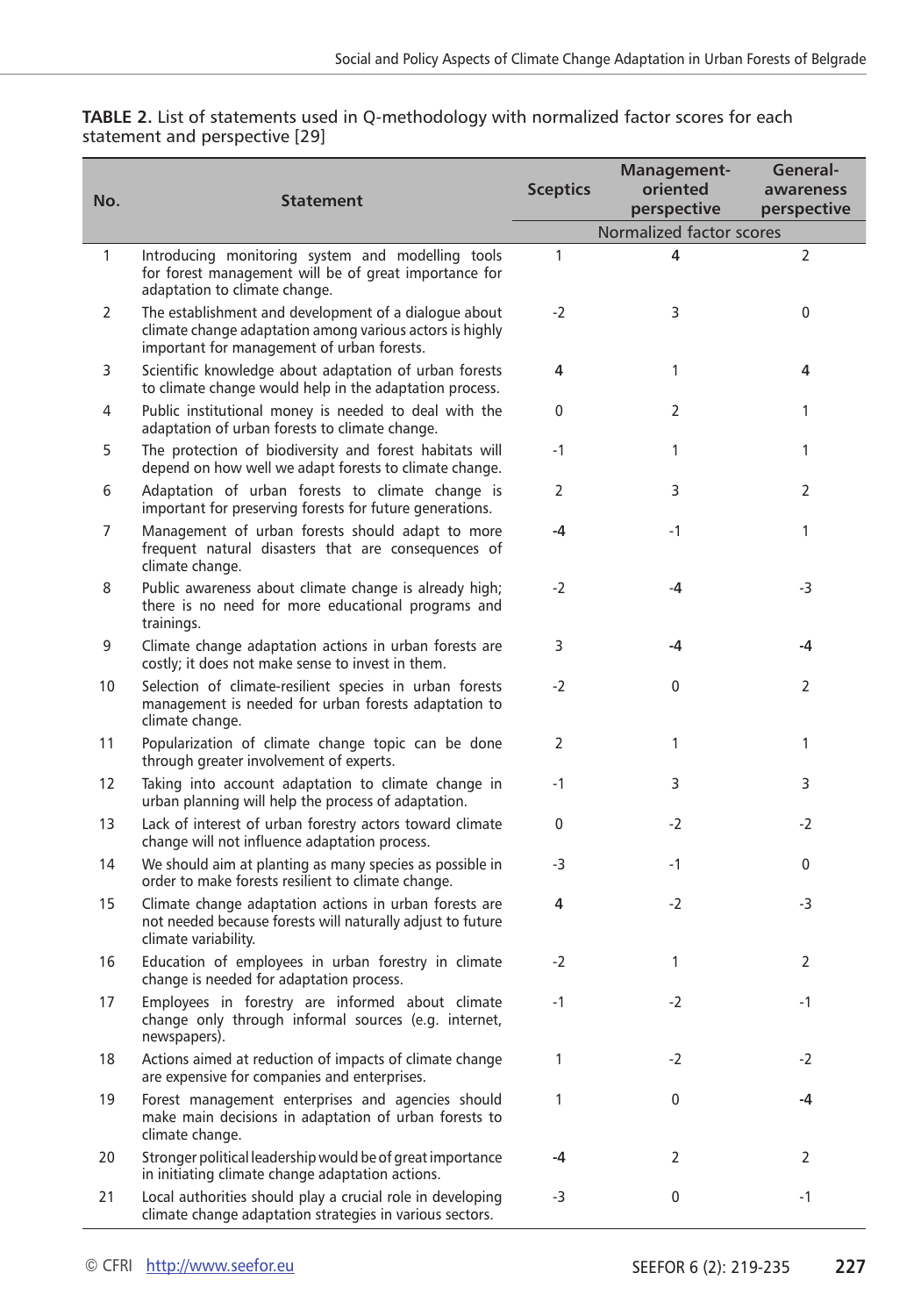| No.          | <b>Statement</b>                                                                                                                                                | <b>Sceptics</b> | Management-<br>oriented<br>perspective | General-<br>awareness<br>perspective |
|--------------|-----------------------------------------------------------------------------------------------------------------------------------------------------------------|-----------------|----------------------------------------|--------------------------------------|
|              |                                                                                                                                                                 |                 | Normalized factor scores               |                                      |
| $\mathbf{1}$ | Introducing monitoring system and modelling tools<br>for forest management will be of great importance for<br>adaptation to climate change.                     | $\mathbf{1}$    | 4                                      | 2                                    |
| 2            | The establishment and development of a dialogue about<br>climate change adaptation among various actors is highly<br>important for management of urban forests. | $-2$            | 3                                      | 0                                    |
| 3            | Scientific knowledge about adaptation of urban forests<br>to climate change would help in the adaptation process.                                               | 4               | $\mathbf{1}$                           | 4                                    |
| 4            | Public institutional money is needed to deal with the<br>adaptation of urban forests to climate change.                                                         | 0               | 2                                      | 1                                    |
| 5            | The protection of biodiversity and forest habitats will<br>depend on how well we adapt forests to climate change.                                               | $-1$            | 1                                      | 1                                    |
| 6            | Adaptation of urban forests to climate change is<br>important for preserving forests for future generations.                                                    | 2               | 3                                      | 2                                    |
| 7            | Management of urban forests should adapt to more<br>frequent natural disasters that are consequences of<br>climate change.                                      | -4              | $-1$                                   | 1                                    |
| 8            | Public awareness about climate change is already high;<br>there is no need for more educational programs and<br>trainings.                                      | $-2$            | -4                                     | -3                                   |
| 9            | Climate change adaptation actions in urban forests are<br>costly; it does not make sense to invest in them.                                                     | 3               | -4                                     | -4                                   |
| 10           | Selection of climate-resilient species in urban forests<br>management is needed for urban forests adaptation to<br>climate change.                              | $-2$            | 0                                      | 2                                    |
| 11           | Popularization of climate change topic can be done<br>through greater involvement of experts.                                                                   | 2               | 1                                      | 1                                    |
| 12           | Taking into account adaptation to climate change in<br>urban planning will help the process of adaptation.                                                      | $-1$            | 3                                      | 3                                    |
| 13           | Lack of interest of urban forestry actors toward climate<br>change will not influence adaptation process.                                                       | 0               | -2                                     | -2                                   |
| 14           | We should aim at planting as many species as possible in<br>order to make forests resilient to climate change.                                                  | -3              | $-1$                                   | 0                                    |
| 15           | Climate change adaptation actions in urban forests are<br>not needed because forests will naturally adjust to future<br>climate variability.                    | 4               | -2                                     | -3                                   |
| 16           | Education of employees in urban forestry in climate<br>change is needed for adaptation process.                                                                 | $-2$            | 1                                      | 2                                    |
| 17           | Employees in forestry are informed about climate<br>change only through informal sources (e.g. internet,<br>newspapers).                                        | $-1$            | -2                                     | $-1$                                 |
| 18           | Actions aimed at reduction of impacts of climate change<br>are expensive for companies and enterprises.                                                         | 1               | -2                                     | -2                                   |
| 19           | Forest management enterprises and agencies should<br>make main decisions in adaptation of urban forests to<br>climate change.                                   | 1               | 0                                      | -4                                   |
| 20           | Stronger political leadership would be of great importance<br>in initiating climate change adaptation actions.                                                  | -4              | 2                                      | 2                                    |
| 21           | Local authorities should play a crucial role in developing<br>climate change adaptation strategies in various sectors.                                          | -3              | 0                                      | $-1$                                 |

| <b>TABLE 2.</b> List of statements used in Q-methodology with normalized factor scores for each |  |
|-------------------------------------------------------------------------------------------------|--|
| statement and perspective [29]                                                                  |  |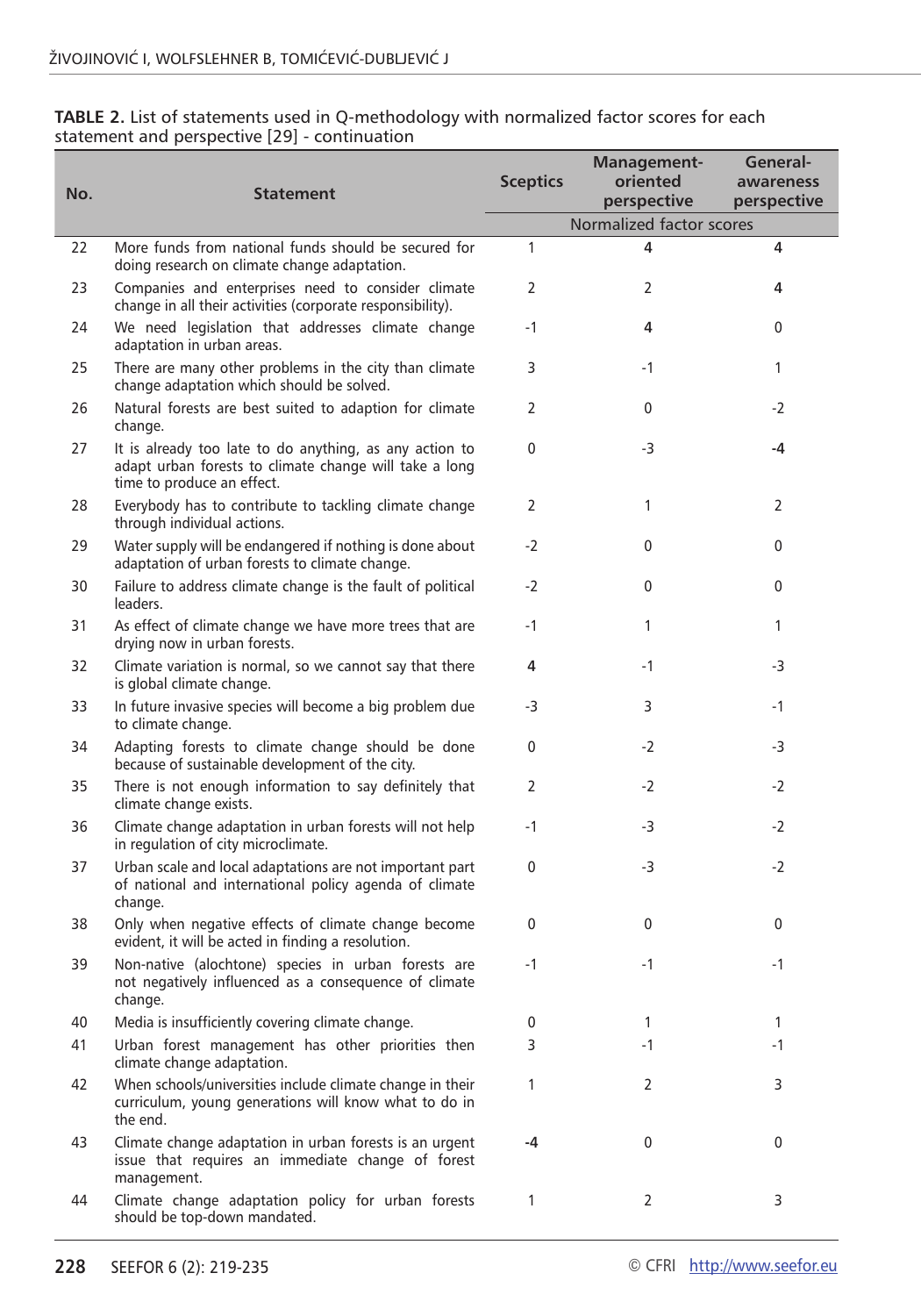| No. | <b>Statement</b>                                                                                                                                | <b>Sceptics</b> | Management-<br>oriented<br>perspective | General-<br>awareness<br>perspective |
|-----|-------------------------------------------------------------------------------------------------------------------------------------------------|-----------------|----------------------------------------|--------------------------------------|
|     |                                                                                                                                                 |                 | Normalized factor scores               |                                      |
| 22  | More funds from national funds should be secured for<br>doing research on climate change adaptation.                                            | $\mathbf{1}$    | 4                                      | 4                                    |
| 23  | Companies and enterprises need to consider climate<br>change in all their activities (corporate responsibility).                                | $\overline{2}$  | 2                                      | 4                                    |
| 24  | We need legislation that addresses climate change<br>adaptation in urban areas.                                                                 | $-1$            | 4                                      | $\mathbf{0}$                         |
| 25  | There are many other problems in the city than climate<br>change adaptation which should be solved.                                             | 3               | $-1$                                   | 1                                    |
| 26  | Natural forests are best suited to adaption for climate<br>change.                                                                              | 2               | 0                                      | $-2$                                 |
| 27  | It is already too late to do anything, as any action to<br>adapt urban forests to climate change will take a long<br>time to produce an effect. | 0               | -3                                     | -4                                   |
| 28  | Everybody has to contribute to tackling climate change<br>through individual actions.                                                           | 2               | $\mathbf{1}$                           | 2                                    |
| 29  | Water supply will be endangered if nothing is done about<br>adaptation of urban forests to climate change.                                      | $-2$            | 0                                      | 0                                    |
| 30  | Failure to address climate change is the fault of political<br>leaders.                                                                         | $-2$            | $\mathbf{0}$                           | $\mathbf{0}$                         |
| 31  | As effect of climate change we have more trees that are<br>drying now in urban forests.                                                         | $-1$            | $\mathbf{1}$                           | 1                                    |
| 32  | Climate variation is normal, so we cannot say that there<br>is global climate change.                                                           | 4               | $-1$                                   | -3                                   |
| 33  | In future invasive species will become a big problem due<br>to climate change.                                                                  | -3              | 3                                      | $-1$                                 |
| 34  | Adapting forests to climate change should be done<br>because of sustainable development of the city.                                            | 0               | -2                                     | -3                                   |
| 35  | There is not enough information to say definitely that<br>climate change exists.                                                                | 2               | $-2$                                   | $-2$                                 |
| 36  | Climate change adaptation in urban forests will not help<br>in regulation of city microclimate.                                                 | $-1$            | -3                                     | $-2$                                 |
| 37  | Urban scale and local adaptations are not important part<br>of national and international policy agenda of climate<br>change.                   | 0               | -3                                     | $-2$                                 |
| 38  | Only when negative effects of climate change become<br>evident, it will be acted in finding a resolution.                                       | 0               | 0                                      | 0                                    |
| 39  | Non-native (alochtone) species in urban forests are<br>not negatively influenced as a consequence of climate<br>change.                         | $-1$            | $-1$                                   | $-1$                                 |
| 40  | Media is insufficiently covering climate change.                                                                                                | 0               | 1                                      | 1                                    |
| 41  | Urban forest management has other priorities then<br>climate change adaptation.                                                                 | 3               | -1                                     | -1                                   |
| 42  | When schools/universities include climate change in their<br>curriculum, young generations will know what to do in<br>the end.                  | 1               | 2                                      | 3                                    |
| 43  | Climate change adaptation in urban forests is an urgent<br>issue that requires an immediate change of forest<br>management.                     | -4              | 0                                      | 0                                    |
| 44  | Climate change adaptation policy for urban forests<br>should be top-down mandated.                                                              | 1               | 2                                      | 3                                    |

**TABLE 2.** List of statements used in Q-methodology with normalized factor scores for each statement and perspective [29] - continuation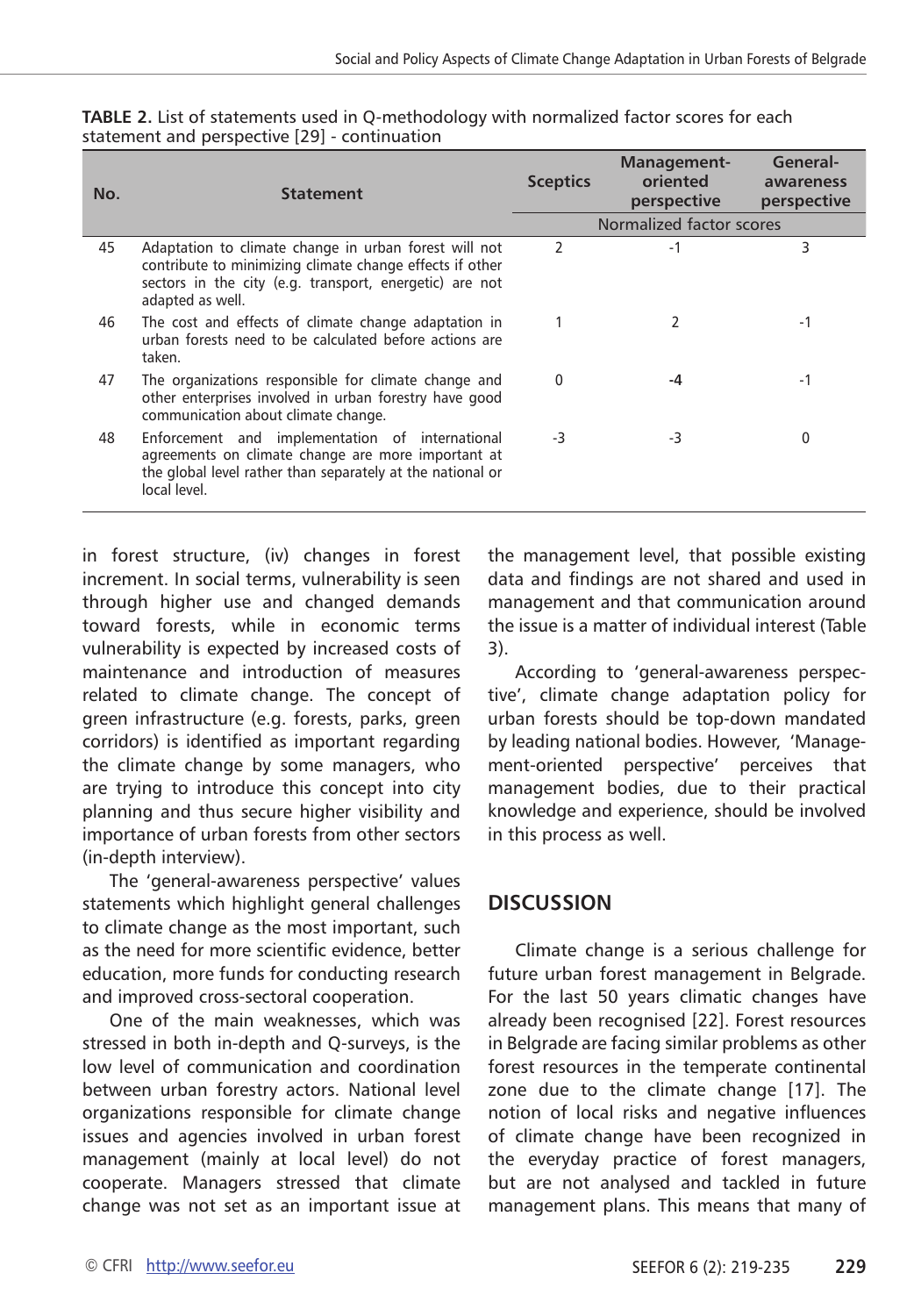| No. | <b>Statement</b>                                                                                                                                                                                 | <b>Sceptics</b>          | Management-<br>oriented<br>perspective | General-<br>awareness<br>perspective |
|-----|--------------------------------------------------------------------------------------------------------------------------------------------------------------------------------------------------|--------------------------|----------------------------------------|--------------------------------------|
|     |                                                                                                                                                                                                  |                          | Normalized factor scores               |                                      |
| 45  | Adaptation to climate change in urban forest will not<br>contribute to minimizing climate change effects if other<br>sectors in the city (e.g. transport, energetic) are not<br>adapted as well. | $\overline{\phantom{a}}$ | $-1$                                   | 3                                    |
| 46  | The cost and effects of climate change adaptation in<br>urban forests need to be calculated before actions are<br>taken.                                                                         |                          | 2                                      | $-1$                                 |
| 47  | The organizations responsible for climate change and<br>other enterprises involved in urban forestry have good<br>communication about climate change.                                            | 0                        | -4                                     | -1                                   |
| 48  | Enforcement and implementation of international<br>agreements on climate change are more important at<br>the global level rather than separately at the national or<br>local level.              | -3                       | $-3$                                   | O                                    |

**TABLE 2.** List of statements used in Q-methodology with normalized factor scores for each statement and perspective [29] - continuation

in forest structure, (iv) changes in forest increment. In social terms, vulnerability is seen through higher use and changed demands toward forests, while in economic terms vulnerability is expected by increased costs of maintenance and introduction of measures related to climate change. The concept of green infrastructure (e.g. forests, parks, green corridors) is identified as important regarding the climate change by some managers, who are trying to introduce this concept into city planning and thus secure higher visibility and importance of urban forests from other sectors (in-depth interview).

The 'general-awareness perspective' values statements which highlight general challenges to climate change as the most important, such as the need for more scientific evidence, better education, more funds for conducting research and improved cross-sectoral cooperation.

One of the main weaknesses, which was stressed in both in-depth and Q-surveys, is the low level of communication and coordination between urban forestry actors. National level organizations responsible for climate change issues and agencies involved in urban forest management (mainly at local level) do not cooperate. Managers stressed that climate change was not set as an important issue at the management level, that possible existing data and findings are not shared and used in management and that communication around the issue is a matter of individual interest (Table 3).

According to 'general-awareness perspective', climate change adaptation policy for urban forests should be top-down mandated by leading national bodies. However, 'Management-oriented perspective' perceives that management bodies, due to their practical knowledge and experience, should be involved in this process as well.

## **DISCUSSION**

Climate change is a serious challenge for future urban forest management in Belgrade. For the last 50 years climatic changes have already been recognised [22]. Forest resources in Belgrade are facing similar problems as other forest resources in the temperate continental zone due to the climate change [17]. The notion of local risks and negative influences of climate change have been recognized in the everyday practice of forest managers, but are not analysed and tackled in future management plans. This means that many of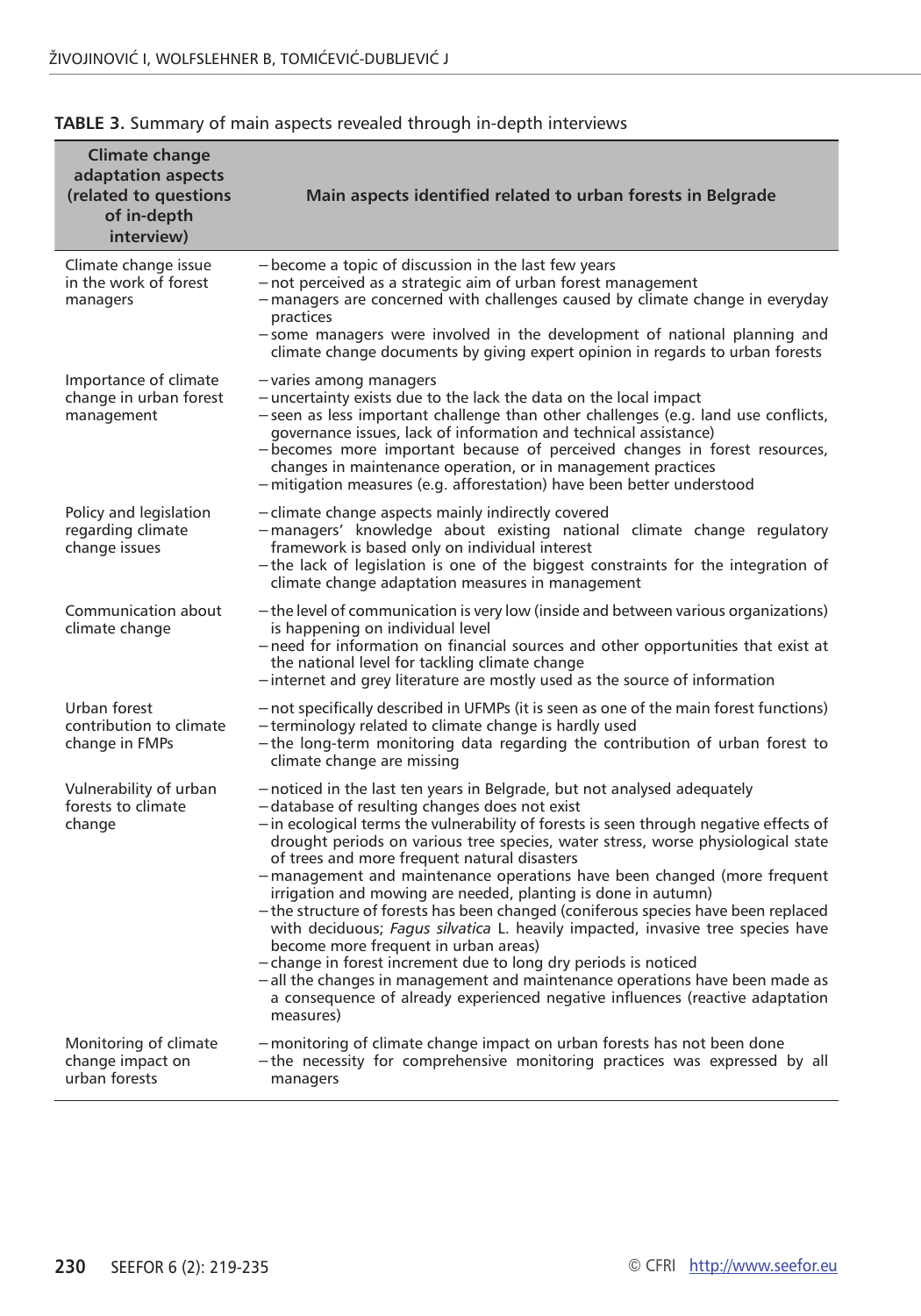| <b>Climate change</b><br>adaptation aspects<br>(related to questions<br>of in-depth<br>interview) | Main aspects identified related to urban forests in Belgrade                                                                                                                                                                                                                                                                                                                                                                                                                                                                                                                                                                                                                                                                                                                                                                                                                                                                                                          |
|---------------------------------------------------------------------------------------------------|-----------------------------------------------------------------------------------------------------------------------------------------------------------------------------------------------------------------------------------------------------------------------------------------------------------------------------------------------------------------------------------------------------------------------------------------------------------------------------------------------------------------------------------------------------------------------------------------------------------------------------------------------------------------------------------------------------------------------------------------------------------------------------------------------------------------------------------------------------------------------------------------------------------------------------------------------------------------------|
| Climate change issue<br>in the work of forest<br>managers                                         | - become a topic of discussion in the last few years<br>-not perceived as a strategic aim of urban forest management<br>-managers are concerned with challenges caused by climate change in everyday<br>practices<br>-some managers were involved in the development of national planning and<br>climate change documents by giving expert opinion in regards to urban forests                                                                                                                                                                                                                                                                                                                                                                                                                                                                                                                                                                                        |
| Importance of climate<br>change in urban forest<br>management                                     | - varies among managers<br>- uncertainty exists due to the lack the data on the local impact<br>-seen as less important challenge than other challenges (e.g. land use conflicts,<br>governance issues, lack of information and technical assistance)<br>- becomes more important because of perceived changes in forest resources,<br>changes in maintenance operation, or in management practices<br>-mitigation measures (e.g. afforestation) have been better understood                                                                                                                                                                                                                                                                                                                                                                                                                                                                                          |
| Policy and legislation<br>regarding climate<br>change issues                                      | - climate change aspects mainly indirectly covered<br>-managers' knowledge about existing national climate change regulatory<br>framework is based only on individual interest<br>-the lack of legislation is one of the biggest constraints for the integration of<br>climate change adaptation measures in management                                                                                                                                                                                                                                                                                                                                                                                                                                                                                                                                                                                                                                               |
| Communication about<br>climate change                                                             | - the level of communication is very low (inside and between various organizations)<br>is happening on individual level<br>-need for information on financial sources and other opportunities that exist at<br>the national level for tackling climate change<br>- internet and grey literature are mostly used as the source of information                                                                                                                                                                                                                                                                                                                                                                                                                                                                                                                                                                                                                          |
| Urban forest<br>contribution to climate<br>change in FMPs                                         | - not specifically described in UFMPs (it is seen as one of the main forest functions)<br>-terminology related to climate change is hardly used<br>-the long-term monitoring data regarding the contribution of urban forest to<br>climate change are missing                                                                                                                                                                                                                                                                                                                                                                                                                                                                                                                                                                                                                                                                                                         |
| Vulnerability of urban<br>forests to climate<br>change                                            | - noticed in the last ten years in Belgrade, but not analysed adequately<br>-database of resulting changes does not exist<br>- in ecological terms the vulnerability of forests is seen through negative effects of<br>drought periods on various tree species, water stress, worse physiological state<br>of trees and more frequent natural disasters<br>-management and maintenance operations have been changed (more frequent<br>irrigation and mowing are needed, planting is done in autumn)<br>- the structure of forests has been changed (coniferous species have been replaced<br>with deciduous; Fagus silvatica L. heavily impacted, invasive tree species have<br>become more frequent in urban areas)<br>- change in forest increment due to long dry periods is noticed<br>- all the changes in management and maintenance operations have been made as<br>a consequence of already experienced negative influences (reactive adaptation<br>measures) |
| Monitoring of climate<br>change impact on<br>urban forests                                        | -monitoring of climate change impact on urban forests has not been done<br>-the necessity for comprehensive monitoring practices was expressed by all<br>managers                                                                                                                                                                                                                                                                                                                                                                                                                                                                                                                                                                                                                                                                                                                                                                                                     |

#### **TABLE 3.** Summary of main aspects revealed through in-depth interviews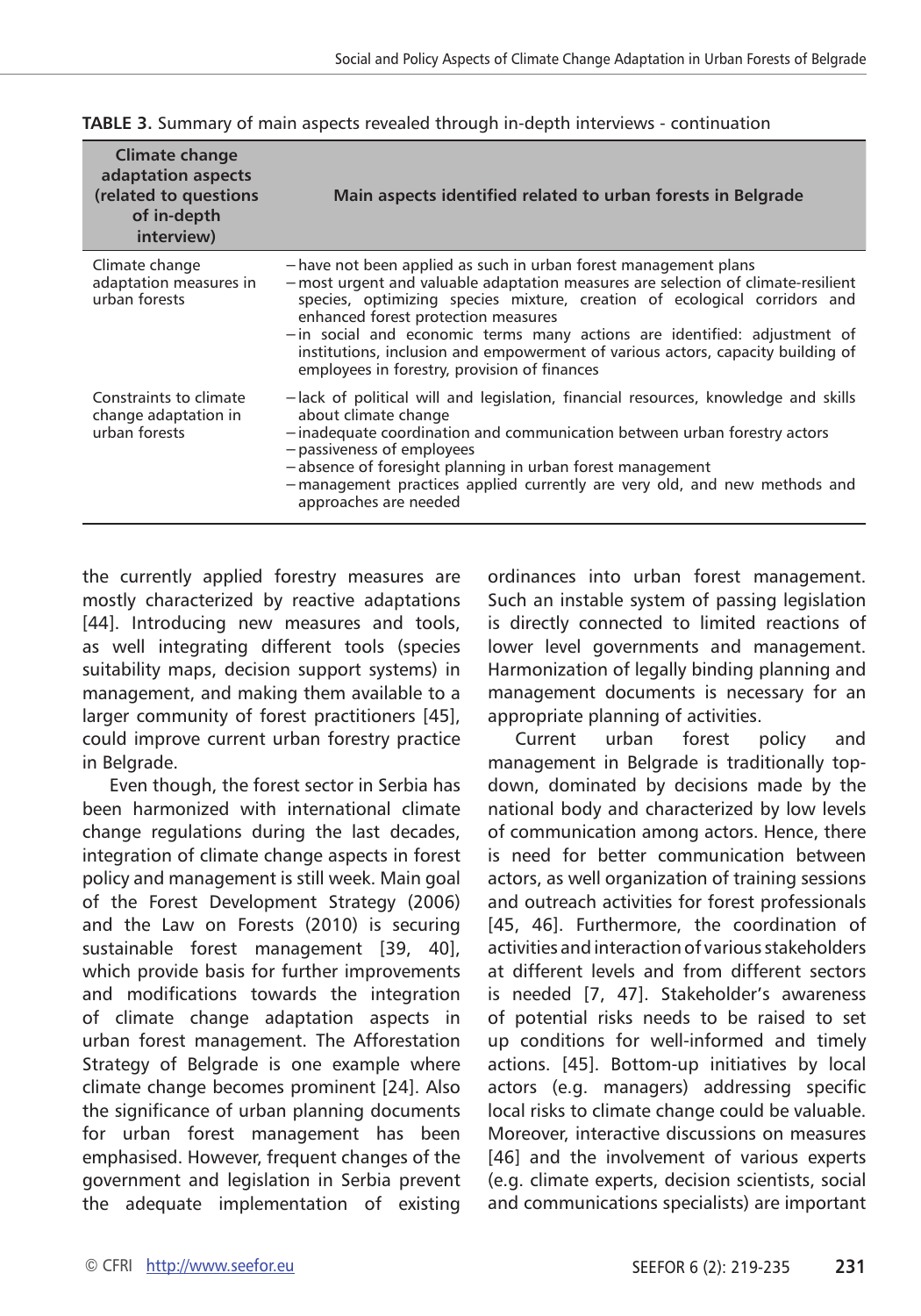| Climate change<br>adaptation aspects<br>(related to questions<br>of in-depth<br>interview) | Main aspects identified related to urban forests in Belgrade                                                                                                                                                                                                                                                                                                                                                                                                                             |
|--------------------------------------------------------------------------------------------|------------------------------------------------------------------------------------------------------------------------------------------------------------------------------------------------------------------------------------------------------------------------------------------------------------------------------------------------------------------------------------------------------------------------------------------------------------------------------------------|
| Climate change<br>adaptation measures in<br>urban forests                                  | -have not been applied as such in urban forest management plans<br>- most urgent and valuable adaptation measures are selection of climate-resilient<br>species, optimizing species mixture, creation of ecological corridors and<br>enhanced forest protection measures<br>- in social and economic terms many actions are identified: adjustment of<br>institutions, inclusion and empowerment of various actors, capacity building of<br>employees in forestry, provision of finances |
| Constraints to climate<br>change adaptation in<br>urban forests                            | -lack of political will and legislation, financial resources, knowledge and skills<br>about climate change<br>-inadequate coordination and communication between urban forestry actors<br>- passiveness of employees<br>-absence of foresight planning in urban forest management<br>-management practices applied currently are very old, and new methods and<br>approaches are needed                                                                                                  |

**TABLE 3.** Summary of main aspects revealed through in-depth interviews - continuation

the currently applied forestry measures are mostly characterized by reactive adaptations [44]. Introducing new measures and tools, as well integrating different tools (species suitability maps, decision support systems) in management, and making them available to a larger community of forest practitioners [45], could improve current urban forestry practice in Belgrade.

Even though, the forest sector in Serbia has been harmonized with international climate change regulations during the last decades, integration of climate change aspects in forest policy and management is still week. Main goal of the Forest Development Strategy (2006) and the Law on Forests (2010) is securing sustainable forest management [39, 40], which provide basis for further improvements and modifications towards the integration of climate change adaptation aspects in urban forest management. The Afforestation Strategy of Belgrade is one example where climate change becomes prominent [24]. Also the significance of urban planning documents for urban forest management has been emphasised. However, frequent changes of the government and legislation in Serbia prevent the adequate implementation of existing

ordinances into urban forest management. Such an instable system of passing legislation is directly connected to limited reactions of lower level governments and management. Harmonization of legally binding planning and management documents is necessary for an appropriate planning of activities.

Current urban forest policy and management in Belgrade is traditionally topdown, dominated by decisions made by the national body and characterized by low levels of communication among actors. Hence, there is need for better communication between actors, as well organization of training sessions and outreach activities for forest professionals [45, 46]. Furthermore, the coordination of activities and interaction of various stakeholders at different levels and from different sectors is needed [7, 47]. Stakeholder's awareness of potential risks needs to be raised to set up conditions for well-informed and timely actions. [45]. Bottom-up initiatives by local actors (e.g. managers) addressing specific local risks to climate change could be valuable. Moreover, interactive discussions on measures [46] and the involvement of various experts (e.g. climate experts, decision scientists, social and communications specialists) are important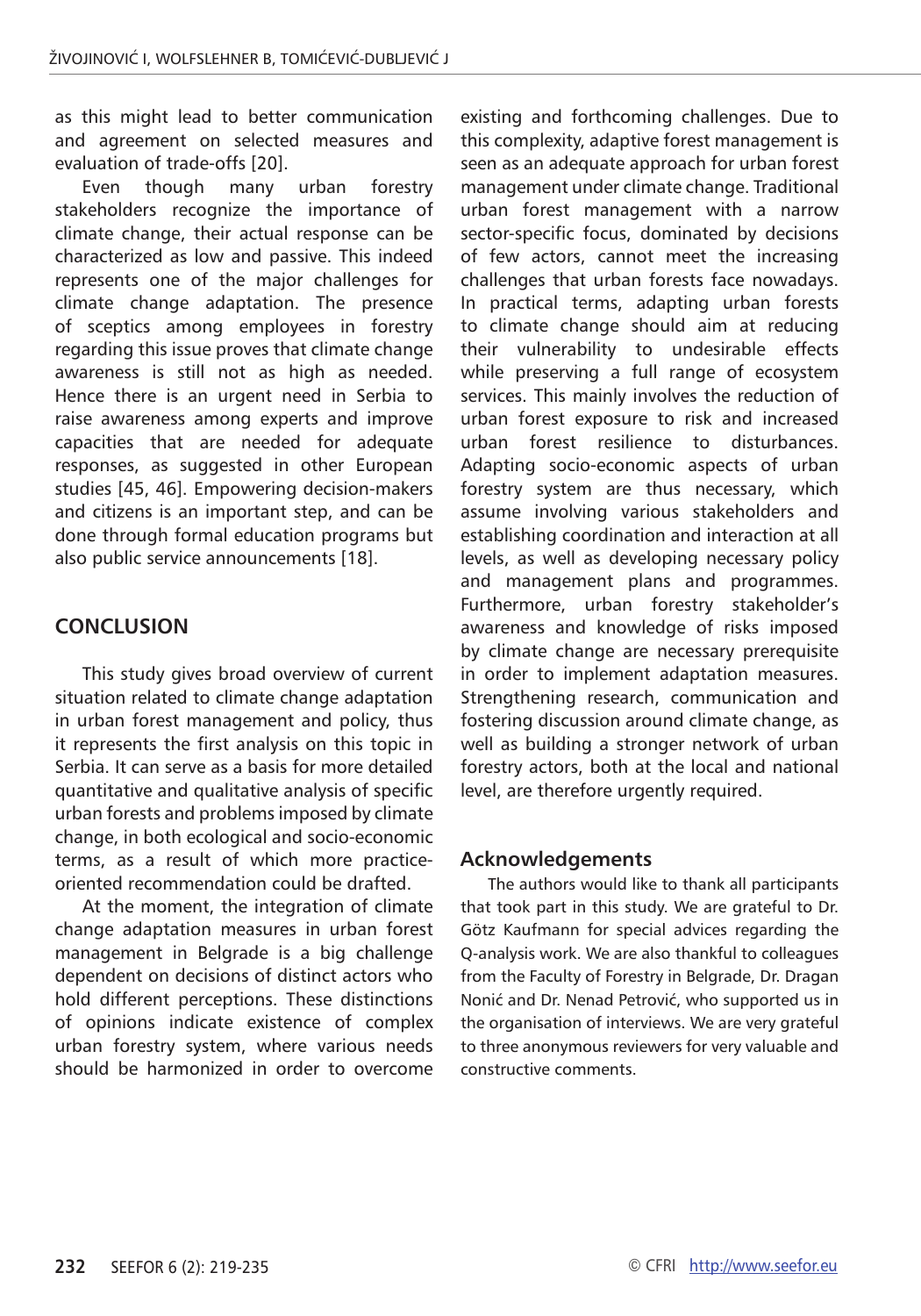as this might lead to better communication and agreement on selected measures and evaluation of trade-offs [20].

Even though many urban forestry stakeholders recognize the importance of climate change, their actual response can be characterized as low and passive. This indeed represents one of the major challenges for climate change adaptation. The presence of sceptics among employees in forestry regarding this issue proves that climate change awareness is still not as high as needed. Hence there is an urgent need in Serbia to raise awareness among experts and improve capacities that are needed for adequate responses, as suggested in other European studies [45, 46]. Empowering decision-makers and citizens is an important step, and can be done through formal education programs but also public service announcements [18].

## **CONCLUSION**

This study gives broad overview of current situation related to climate change adaptation in urban forest management and policy, thus it represents the first analysis on this topic in Serbia. It can serve as a basis for more detailed quantitative and qualitative analysis of specific urban forests and problems imposed by climate change, in both ecological and socio-economic terms, as a result of which more practiceoriented recommendation could be drafted.

At the moment, the integration of climate change adaptation measures in urban forest management in Belgrade is a big challenge dependent on decisions of distinct actors who hold different perceptions. These distinctions of opinions indicate existence of complex urban forestry system, where various needs should be harmonized in order to overcome

existing and forthcoming challenges. Due to this complexity, adaptive forest management is seen as an adequate approach for urban forest management under climate change. Traditional urban forest management with a narrow sector-specific focus, dominated by decisions of few actors, cannot meet the increasing challenges that urban forests face nowadays. In practical terms, adapting urban forests to climate change should aim at reducing their vulnerability to undesirable effects while preserving a full range of ecosystem services. This mainly involves the reduction of urban forest exposure to risk and increased urban forest resilience to disturbances. Adapting socio-economic aspects of urban forestry system are thus necessary, which assume involving various stakeholders and establishing coordination and interaction at all levels, as well as developing necessary policy and management plans and programmes. Furthermore, urban forestry stakeholder's awareness and knowledge of risks imposed by climate change are necessary prerequisite in order to implement adaptation measures. Strengthening research, communication and fostering discussion around climate change, as well as building a stronger network of urban forestry actors, both at the local and national level, are therefore urgently required.

#### **Acknowledgements**

The authors would like to thank all participants that took part in this study. We are grateful to Dr. Götz Kaufmann for special advices regarding the Q-analysis work. We are also thankful to colleagues from the Faculty of Forestry in Belgrade, Dr. Dragan Nonić and Dr. Nenad Petrović, who supported us in the organisation of interviews. We are very grateful to three anonymous reviewers for very valuable and constructive comments.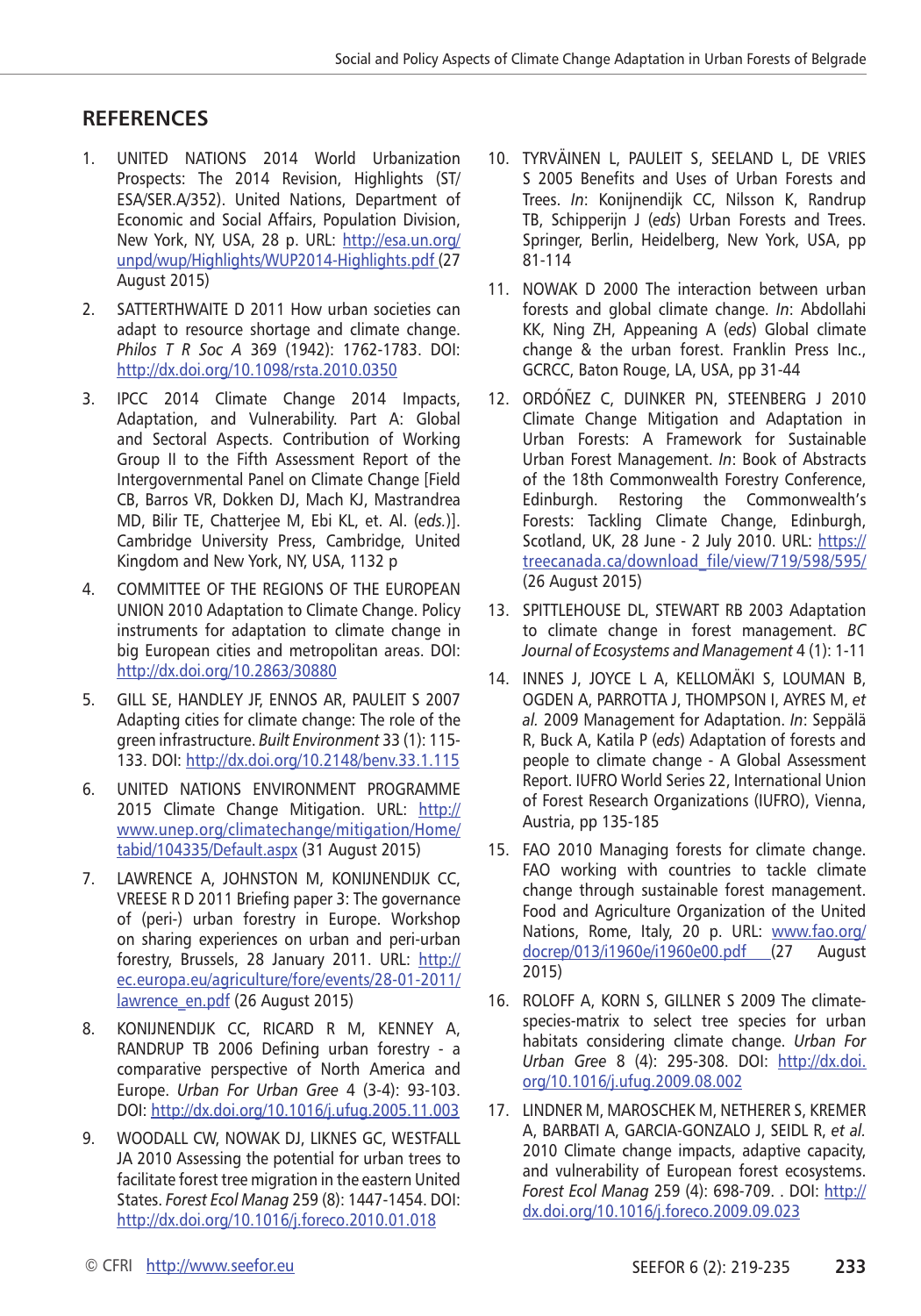## **RefereNces**

- 1. UNITED NATIONS 2014 World Urbanization Prospects: The 2014 Revision, Highlights (ST/ ESA/SER.A/352). United Nations, Department of Economic and Social Affairs, Population Division, New York, NY, USA, 28 p. URL: [http://esa.un.org/](http://esa.un.org/unpd/wup/Highlights/WUP2014-Highlights.pdf) [unpd/wup/Highlights/WUP2014-Highlights.pdf](http://esa.un.org/unpd/wup/Highlights/WUP2014-Highlights.pdf) (27 August 2015)
- 2. SATTERTHWAITE D 2011 How urban societies can adapt to resource shortage and climate change. *Philos T R Soc A* 369 (1942): 1762-1783. DOI: <http://dx.doi.org/10.1098/rsta.2010.0350>
- 3. IPCC 2014 Climate Change 2014 Impacts, Adaptation, and Vulnerability. Part A: Global and Sectoral Aspects. Contribution of Working Group II to the Fifth Assessment Report of the Intergovernmental Panel on Climate Change [Field CB, Barros VR, Dokken DJ, Mach KJ, Mastrandrea MD, Bilir TE, Chatterjee M, Ebi KL, et. Al. (*eds.*)]. Cambridge University Press, Cambridge, United Kingdom and New York, NY, USA, 1132 p
- 4. COMMITTEE OF THE REGIONS OF THE EUROPEAN UNION 2010 Adaptation to Climate Change. Policy instruments for adaptation to climate change in big European cities and metropolitan areas. DOI: <http://dx.doi.org/10.2863/30880>
- 5. GILL SE, HANDLEY JF, ENNOS AR, PAULEIT S 2007 Adapting cities for climate change: The role of the green infrastructure. *Built Environment* 33 (1): 115- 133. DOI:<http://dx.doi.org/10.2148/benv.33.1.115>
- 6. UNITED NATIONS ENVIRONMENT PROGRAMME 2015 Climate Change Mitigation. URL: [http://](http://www.unep.org/climatechange/mitigation/Home/tabid/104335/Default.aspx) [www.unep.org/climatechange/mitigation/Home/](http://www.unep.org/climatechange/mitigation/Home/tabid/104335/Default.aspx) [tabid/104335/Default.aspx](http://www.unep.org/climatechange/mitigation/Home/tabid/104335/Default.aspx) (31 August 2015)
- 7. LAWRENCE A, JOHNSTON M, KONIJNENDIJK CC, VREESE R D 2011 Briefing paper 3: The governance of (peri-) urban forestry in Europe. Workshop on sharing experiences on urban and peri-urban forestry, Brussels, 28 January 2011. URL: [http://](http://ec.europa.eu/agriculture/fore/events/28-01-2011/lawrence_en.pdf) [ec.europa.eu/agriculture/fore/events/28-01-2011/](http://ec.europa.eu/agriculture/fore/events/28-01-2011/lawrence_en.pdf) [lawrence\\_en.pdf](http://ec.europa.eu/agriculture/fore/events/28-01-2011/lawrence_en.pdf) (26 August 2015)
- 8. KONIJNENDIJK CC, RICARD R M, KENNEY A, RANDRUP TB 2006 Defining urban forestry - a comparative perspective of North America and Europe. *Urban For Urban Gree* 4 (3-4): 93-103. DOI: http://dx.doi.org/10.1016/j.ufug.2005.11.003
- 9. WOODALL CW, NOWAK DJ, LIKNES GC, WESTFALL JA 2010 Assessing the potential for urban trees to facilitate forest tree migration in the eastern United States. *Forest Ecol Manag* 259 (8): 1447-1454. DOI: <http://dx.doi.org/10.1016/j.foreco.2010.01.018>
- 10. TYRVÄINEN L, PAULEIT S, SEELAND L, DE VRIES S 2005 Benefits and Uses of Urban Forests and Trees. *In*: Konijnendijk CC, Nilsson K, Randrup TB, Schipperijn J (*eds*) Urban Forests and Trees. Springer, Berlin, Heidelberg, New York, USA, pp 81-114
- 11. NOWAK D 2000 The interaction between urban forests and global climate change. *In*: Abdollahi KK, Ning ZH, Appeaning A (*eds*) Global climate change & the urban forest. Franklin Press Inc., GCRCC, Baton Rouge, LA, USA, pp 31-44
- 12. ORDÓÑEZ C, DUINKER PN, STEENBERG J 2010 Climate Change Mitigation and Adaptation in Urban Forests: A Framework for Sustainable Urban Forest Management. *In*: Book of Abstracts of the 18th Commonwealth Forestry Conference, Edinburgh. Restoring the Commonwealth's Forests: Tackling Climate Change, Edinburgh, Scotland, UK, 28 June - 2 July 2010. URL: [https://](https://treecanada.ca/download_file/view/719/598/595/) [treecanada.ca/download\\_file/view/719/598/595/](https://treecanada.ca/download_file/view/719/598/595/) (26 August 2015)
- 13. SPITTLEHOUSE DL, STEWART RB 2003 Adaptation to climate change in forest management. *BC Journal of Ecosystems and Management* 4 (1): 1-11
- 14. INNES J, JOYCE L A, KELLOMÄKI S, LOUMAN B, OGDEN A, PARROTTA J, THOMPSON I, AYRES M, *et al.* 2009 Management for Adaptation. *In*: Seppälä R, Buck A, Katila P (*eds*) Adaptation of forests and people to climate change - A Global Assessment Report. IUFRO World Series 22, International Union of Forest Research Organizations (IUFRO), Vienna, Austria, pp 135-185
- 15. FAO 2010 Managing forests for climate change. FAO working with countries to tackle climate change through sustainable forest management. Food and Agriculture Organization of the United Nations, Rome, Italy, 20 p. URL: [www.fao.org/](http://www.fao.org/docrep/013/i1960e/i1960e00.pdf) [docrep/013/i1960e/i1960e00.pdf](http://www.fao.org/docrep/013/i1960e/i1960e00.pdf) (27 August 2015)
- 16. ROLOFF A, KORN S, GILLNER S 2009 The climatespecies-matrix to select tree species for urban habitats considering climate change. *Urban For Urban Gree* 8 (4): 295-308. DOI: [http://dx.doi.](http://dx.doi.org/10.1016/j.ufug.2009.08.002) [org/10.1016/j.ufug.2009.08.002](http://dx.doi.org/10.1016/j.ufug.2009.08.002)
- 17. LINDNER M, MAROSCHEK M, NETHERER S, KREMER A, BARBATI A, GARCIA-GONZALO J, SEIDL R, *et al.* 2010 Climate change impacts, adaptive capacity, and vulnerability of European forest ecosystems. *Forest Ecol Manag* 259 (4): 698-709. . DOI: [http://](http://dx.doi.org/10.1016/j.foreco.2009.09.023) [dx.doi.org/10.1016/j.foreco.2009.09.023](http://dx.doi.org/10.1016/j.foreco.2009.09.023)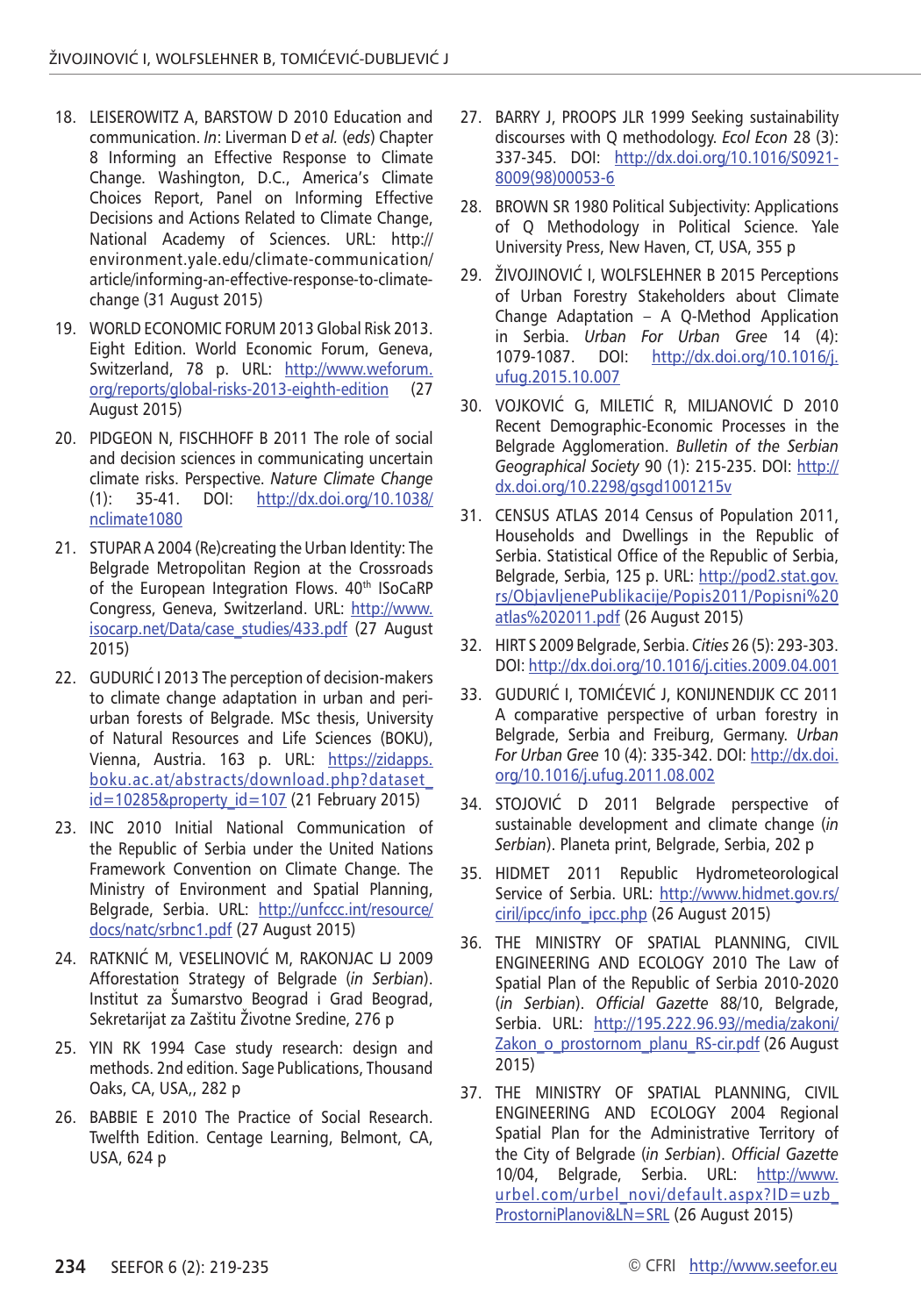- 18. LEISEROWITZ A, BARSTOW D 2010 Education and communication. *In*: Liverman D *et al.* (*eds*) Chapter 8 Informing an Effective Response to Climate Change. Washington, D.C., America's Climate Choices Report, Panel on Informing Effective Decisions and Actions Related to Climate Change, National Academy of Sciences. URL: http:// environment.yale.edu/climate-communication/ article/informing-an-effective-response-to-climatechange (31 August 2015)
- 19. WORLD ECONOMIC FORUM 2013 Global Risk 2013. Eight Edition. World Economic Forum, Geneva, Switzerland, 78 p. URL: [http://www.weforum.](http://www.weforum.org/reports/global-risks-2013-eighth-edition) [org/reports/global-risks-2013-eighth-edition](http://www.weforum.org/reports/global-risks-2013-eighth-edition) (27 August 2015)
- 20. PIDGEON N, FISCHHOFF B 2011 The role of social and decision sciences in communicating uncertain climate risks. Perspective. *Nature Climate Change* (1): 35-41. DOI: [http://dx.doi.org/10.1038/](http://dx.doi.org/10.1038/nclimate1080) [nclimate1080](http://dx.doi.org/10.1038/nclimate1080)
- 21. STUPAR A 2004 (Re)creating the Urban Identity: The Belgrade Metropolitan Region at the Crossroads of the European Integration Flows. 40th ISoCaRP Congress, Geneva, Switzerland. URL: [http://www.](http://www.isocarp.net/Data/case_studies/433.pdf) [isocarp.net/Data/case\\_studies/433.pdf](http://www.isocarp.net/Data/case_studies/433.pdf) (27 August 2015)
- 22. GUDURIĆ I 2013 The perception of decision-makers to climate change adaptation in urban and periurban forests of Belgrade. MSc thesis, University of Natural Resources and Life Sciences (BOKU), Vienna, Austria. 163 p. URL: [https://zidapps.](https://zidapps.boku.ac.at/abstracts/download.php?dataset_id=10285&property_id=107) [boku.ac.at/abstracts/download.php?dataset\\_](https://zidapps.boku.ac.at/abstracts/download.php?dataset_id=10285&property_id=107)  $id = 10285$ &property  $id = 107$  (21 February 2015)
- 23. INC 2010 Initial National Communication of the Republic of Serbia under the United Nations Framework Convention on Climate Change. The Ministry of Environment and Spatial Planning, Belgrade, Serbia. URL: [http://unfccc.int/resource/](http://unfccc.int/resource/docs/natc/srbnc1.pdf) [docs/natc/srbnc1.pdf](http://unfccc.int/resource/docs/natc/srbnc1.pdf) (27 August 2015)
- 24. RATKNIĆ M, VESELINOVIĆ M, RAKONJAC LJ 2009 Afforestation Strategy of Belgrade (*in Serbian*). Institut za Šumarstvo Beograd i Grad Beograd, Sekretarijat za Zaštitu Životne Sredine, 276 p
- 25. YIN RK 1994 Case study research: design and methods. 2nd edition. Sage Publications, Thousand Oaks, CA, USA,, 282 p
- 26. BABBIE E 2010 The Practice of Social Research. Twelfth Edition. Centage Learning, Belmont, CA, USA, 624 p
- 27. BARRY J, PROOPS JLR 1999 Seeking sustainability discourses with Q methodology. *Ecol Econ* 28 (3): 337-345. DOI: [http://dx.doi.org/10.1016/S0921-](http://dx.doi.org/10.1016/S0921-8009(98)00053-6) [8009\(98\)00053-6](http://dx.doi.org/10.1016/S0921-8009(98)00053-6)
- 28. BROWN SR 1980 Political Subjectivity: Applications of Q Methodology in Political Science. Yale University Press, New Haven, CT, USA, 355 p
- 29. ŽIVOJINOVIĆ I, WOLFSLEHNER B 2015 Perceptions of Urban Forestry Stakeholders about Climate Change Adaptation – A Q-Method Application in Serbia. *Urban For Urban Gree* 14 (4): [http://dx.doi.org/10.1016/j.](http://dx.doi.org/10.1016/j.ufug.2015.10.007) [ufug.2015.10.007](http://dx.doi.org/10.1016/j.ufug.2015.10.007)
- 30. VOJKOVIĆ G, MILETIĆ R, MILJANOVIĆ D 2010 Recent Demographic-Economic Processes in the Belgrade Agglomeration. *Bulletin of the Serbian Geographical Society* 90 (1): 215-235. DOI: [http://](http://dx.doi.org/10.2298/gsgd1001215v) [dx.doi.org/10.2298/gsgd1001215v](http://dx.doi.org/10.2298/gsgd1001215v)
- 31. CENSUS ATLAS 2014 Census of Population 2011, Households and Dwellings in the Republic of Serbia. Statistical Office of the Republic of Serbia, Belgrade, Serbia, 125 p. URL: [http://pod2.stat.gov.](http://pod2.stat.gov.rs/ObjavljenePublikacije/Popis2011/Popisni atlas 2011.pdf) [rs/ObjavljenePublikacije/Popis2011/Popisni%20](http://pod2.stat.gov.rs/ObjavljenePublikacije/Popis2011/Popisni atlas 2011.pdf) [atlas%202011.pdf](http://pod2.stat.gov.rs/ObjavljenePublikacije/Popis2011/Popisni atlas 2011.pdf) (26 August 2015)
- 32. HIRT S 2009 Belgrade, Serbia. *Cities* 26 (5): 293-303. DOI:<http://dx.doi.org/10.1016/j.cities.2009.04.001>
- 33. GUDURIĆ I, TOMIĆEVIĆ J, KONIJNENDIJK CC 2011 A comparative perspective of urban forestry in Belgrade, Serbia and Freiburg, Germany. *Urban For Urban Gree* 10 (4): 335-342. DOI: [http://dx.doi.](http://dx.doi.org/10.1016/j.ufug.2011.08.002) [org/10.1016/j.ufug.2011.08.002](http://dx.doi.org/10.1016/j.ufug.2011.08.002)
- 34. STOJOVIĆ D 2011 Belgrade perspective of sustainable development and climate change (*in Serbian*). Planeta print, Belgrade, Serbia, 202 p
- 35. HIDMET 2011 Republic Hydrometeorological Service of Serbia. URL: [http://www.hidmet.gov.rs/](http://www.hidmet.gov.rs/ciril/ipcc/info_ipcc.php) [ciril/ipcc/info\\_ipcc.php](http://www.hidmet.gov.rs/ciril/ipcc/info_ipcc.php) (26 August 2015)
- 36. THE MINISTRY OF SPATIAL PLANNING, CIVIL ENGINEERING AND ECOLOGY 2010 The Law of Spatial Plan of the Republic of Serbia 2010-2020 (*in Serbian*). *Official Gazette* 88/10, Belgrade, Serbia. URL: [http://195.222.96.93//media/zakoni/](http://195.222.96.93//media/zakoni/Zakon_o_prostornom_planu_RS-cir.pdf) [Zakon\\_o\\_prostornom\\_planu\\_RS-cir.pdf](http://195.222.96.93//media/zakoni/Zakon_o_prostornom_planu_RS-cir.pdf) (26 August 2015)
- 37. THE MINISTRY OF SPATIAL PLANNING, CIVIL ENGINEERING AND ECOLOGY 2004 Regional Spatial Plan for the Administrative Territory of the City of Belgrade (*in Serbian*). *Official Gazette*  10/04, Belgrade, Serbia. URL: [http://www.](http://www.urbel.com/urbel_novi/default.aspx?ID=uzb_ProstorniPlanovi&LN=SRL) [urbel.com/urbel\\_novi/default.aspx?ID=uzb\\_](http://www.urbel.com/urbel_novi/default.aspx?ID=uzb_ProstorniPlanovi&LN=SRL) [ProstorniPlanovi&LN=SRL](http://www.urbel.com/urbel_novi/default.aspx?ID=uzb_ProstorniPlanovi&LN=SRL) (26 August 2015)